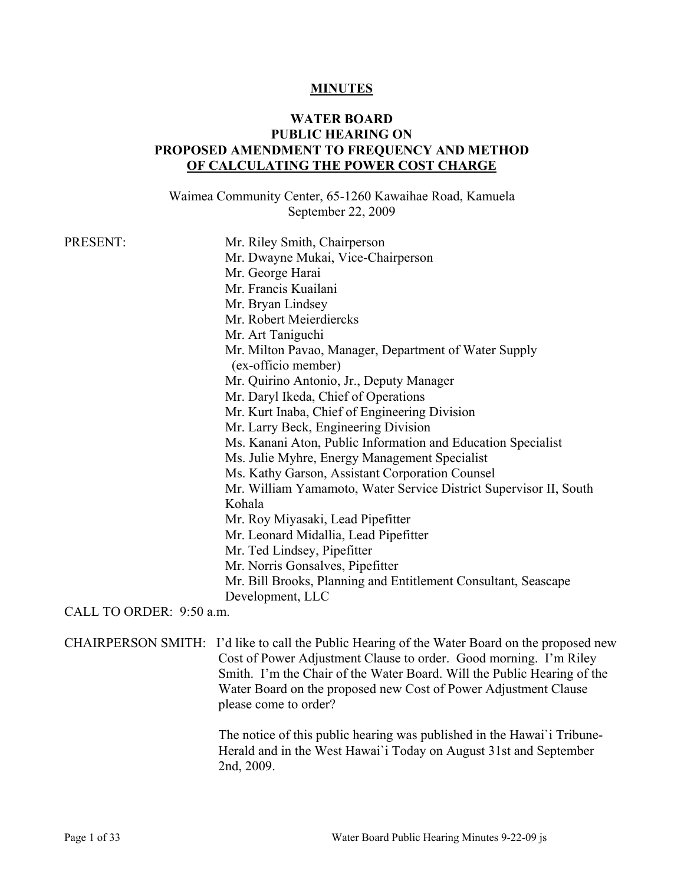#### **MINUTES**

### **WATER BOARD PUBLIC HEARING ON PROPOSED AMENDMENT TO FREQUENCY AND METHOD OF CALCULATING THE POWER COST CHARGE**

Waimea Community Center, 65-1260 Kawaihae Road, Kamuela September 22, 2009

PRESENT: Mr. Riley Smith, Chairperson Mr. Dwayne Mukai, Vice-Chairperson Mr. George Harai Mr. Francis Kuailani Mr. Bryan Lindsey Mr. Robert Meierdiercks Mr. Art Taniguchi Mr. Milton Pavao, Manager, Department of Water Supply (ex-officio member) Mr. Quirino Antonio, Jr., Deputy Manager Mr. Daryl Ikeda, Chief of Operations Mr. Kurt Inaba, Chief of Engineering Division Mr. Larry Beck, Engineering Division Ms. Kanani Aton, Public Information and Education Specialist Ms. Julie Myhre, Energy Management Specialist Ms. Kathy Garson, Assistant Corporation Counsel Mr. William Yamamoto, Water Service District Supervisor II, South Kohala Mr. Roy Miyasaki, Lead Pipefitter Mr. Leonard Midallia, Lead Pipefitter Mr. Ted Lindsey, Pipefitter Mr. Norris Gonsalves, Pipefitter Mr. Bill Brooks, Planning and Entitlement Consultant, Seascape Development, LLC CALL TO ORDER: 9:50 a.m.

CHAIRPERSON SMITH: I'd like to call the Public Hearing of the Water Board on the proposed new Cost of Power Adjustment Clause to order. Good morning. I'm Riley Smith. I'm the Chair of the Water Board. Will the Public Hearing of the Water Board on the proposed new Cost of Power Adjustment Clause please come to order?

> The notice of this public hearing was published in the Hawai`i Tribune-Herald and in the West Hawai`i Today on August 31st and September 2nd, 2009.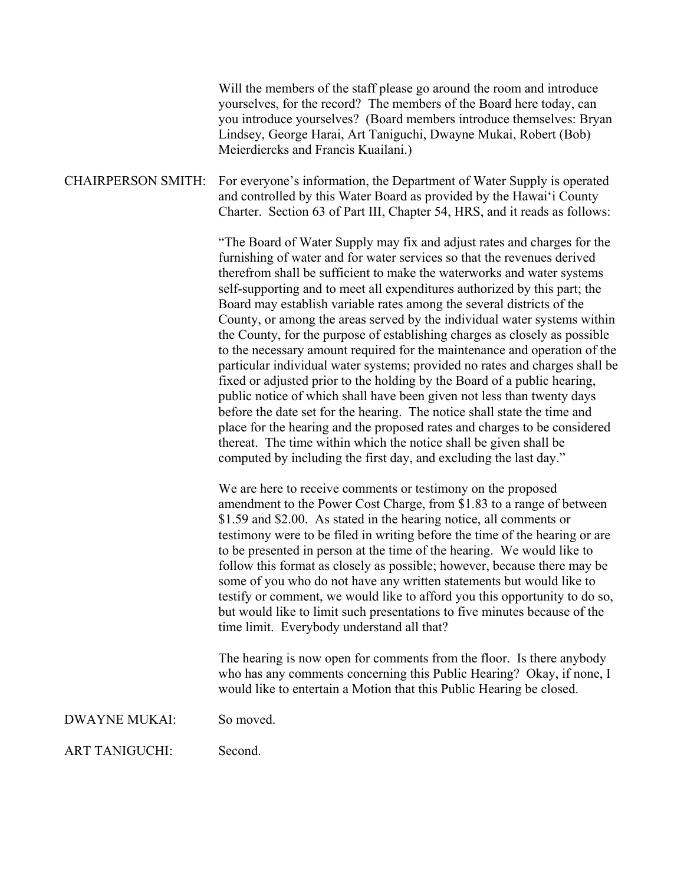Will the members of the staff please go around the room and introduce yourselves, for the record? The members of the Board here today, can you introduce yourselves? (Board members introduce themselves: Bryan Lindsey, George Harai, Art Taniguchi, Dwayne Mukai, Robert (Bob) Meierdiercks and Francis Kuailani.)

CHAIRPERSON SMITH: For everyone's information, the Department of Water Supply is operated and controlled by this Water Board as provided by the Hawai'i County Charter. Section 63 of Part III, Chapter 54, HRS, and it reads as follows:

> "The Board of Water Supply may fix and adjust rates and charges for the furnishing of water and for water services so that the revenues derived therefrom shall be sufficient to make the waterworks and water systems self-supporting and to meet all expenditures authorized by this part; the Board may establish variable rates among the several districts of the County, or among the areas served by the individual water systems within the County, for the purpose of establishing charges as closely as possible to the necessary amount required for the maintenance and operation of the particular individual water systems; provided no rates and charges shall be fixed or adjusted prior to the holding by the Board of a public hearing, public notice of which shall have been given not less than twenty days before the date set for the hearing. The notice shall state the time and place for the hearing and the proposed rates and charges to be considered thereat. The time within which the notice shall be given shall be computed by including the first day, and excluding the last day."

We are here to receive comments or testimony on the proposed amendment to the Power Cost Charge, from \$1.83 to a range of between \$1.59 and \$2.00. As stated in the hearing notice, all comments or testimony were to be filed in writing before the time of the hearing or are to be presented in person at the time of the hearing. We would like to follow this format as closely as possible; however, because there may be some of you who do not have any written statements but would like to testify or comment, we would like to afford you this opportunity to do so, but would like to limit such presentations to five minutes because of the time limit. Everybody understand all that?

The hearing is now open for comments from the floor. Is there anybody who has any comments concerning this Public Hearing? Okay, if none, I would like to entertain a Motion that this Public Hearing be closed.

DWAYNE MUKAI: So moved.

ART TANIGUCHI: Second.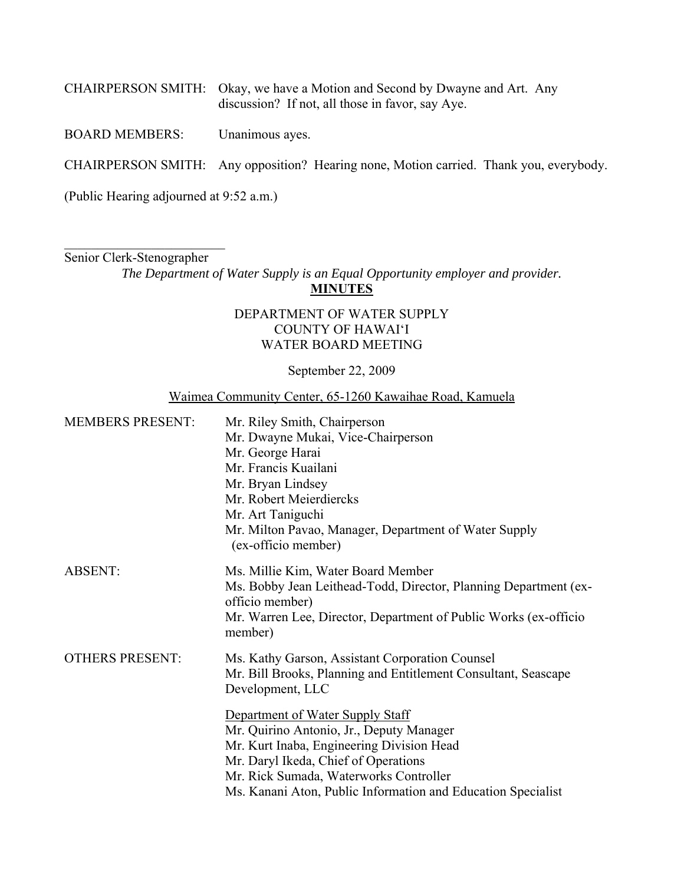CHAIRPERSON SMITH: Okay, we have a Motion and Second by Dwayne and Art. Any discussion? If not, all those in favor, say Aye.

BOARD MEMBERS: Unanimous ayes.

CHAIRPERSON SMITH: Any opposition? Hearing none, Motion carried. Thank you, everybody.

(Public Hearing adjourned at 9:52 a.m.)

 $\mathcal{L}_\text{max}$  , where  $\mathcal{L}_\text{max}$  and  $\mathcal{L}_\text{max}$ Senior Clerk-Stenographer

> *The Department of Water Supply is an Equal Opportunity employer and provider.*  **MINUTES**

#### DEPARTMENT OF WATER SUPPLY COUNTY OF HAWAI'I WATER BOARD MEETING

September 22, 2009

Waimea Community Center, 65-1260 Kawaihae Road, Kamuela

| <b>MEMBERS PRESENT:</b> | Mr. Riley Smith, Chairperson<br>Mr. Dwayne Mukai, Vice-Chairperson<br>Mr. George Harai<br>Mr. Francis Kuailani<br>Mr. Bryan Lindsey<br>Mr. Robert Meierdiercks<br>Mr. Art Taniguchi<br>Mr. Milton Pavao, Manager, Department of Water Supply<br>(ex-officio member)                                                                                                                                                  |
|-------------------------|----------------------------------------------------------------------------------------------------------------------------------------------------------------------------------------------------------------------------------------------------------------------------------------------------------------------------------------------------------------------------------------------------------------------|
| <b>ABSENT:</b>          | Ms. Millie Kim, Water Board Member<br>Ms. Bobby Jean Leithead-Todd, Director, Planning Department (ex-<br>officio member)<br>Mr. Warren Lee, Director, Department of Public Works (ex-officio<br>member)                                                                                                                                                                                                             |
| <b>OTHERS PRESENT:</b>  | Ms. Kathy Garson, Assistant Corporation Counsel<br>Mr. Bill Brooks, Planning and Entitlement Consultant, Seascape<br>Development, LLC<br>Department of Water Supply Staff<br>Mr. Quirino Antonio, Jr., Deputy Manager<br>Mr. Kurt Inaba, Engineering Division Head<br>Mr. Daryl Ikeda, Chief of Operations<br>Mr. Rick Sumada, Waterworks Controller<br>Ms. Kanani Aton, Public Information and Education Specialist |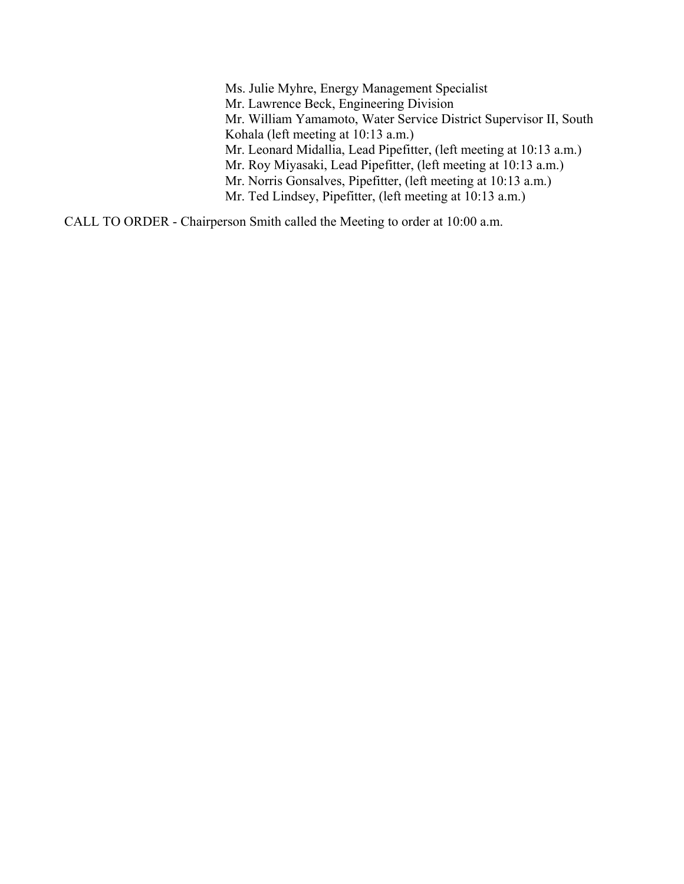Ms. Julie Myhre, Energy Management Specialist Mr. Lawrence Beck, Engineering Division Mr. William Yamamoto, Water Service District Supervisor II, South Kohala (left meeting at 10:13 a.m.) Mr. Leonard Midallia, Lead Pipefitter, (left meeting at 10:13 a.m.) Mr. Roy Miyasaki, Lead Pipefitter, (left meeting at 10:13 a.m.) Mr. Norris Gonsalves, Pipefitter, (left meeting at 10:13 a.m.) Mr. Ted Lindsey, Pipefitter, (left meeting at 10:13 a.m.)

CALL TO ORDER - Chairperson Smith called the Meeting to order at 10:00 a.m.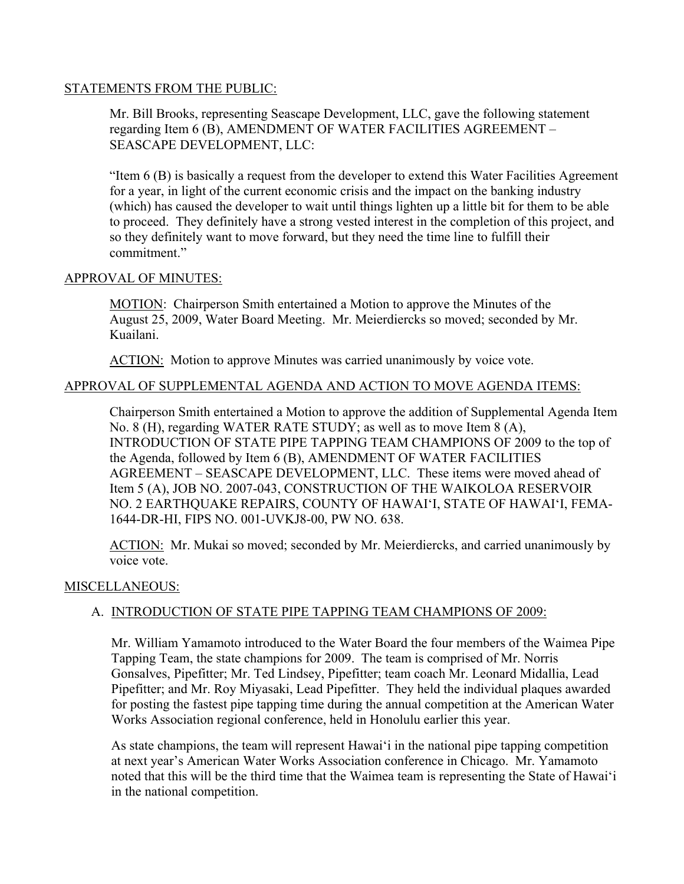#### STATEMENTS FROM THE PUBLIC:

Mr. Bill Brooks, representing Seascape Development, LLC, gave the following statement regarding Item 6 (B), AMENDMENT OF WATER FACILITIES AGREEMENT – SEASCAPE DEVELOPMENT, LLC:

"Item 6 (B) is basically a request from the developer to extend this Water Facilities Agreement for a year, in light of the current economic crisis and the impact on the banking industry (which) has caused the developer to wait until things lighten up a little bit for them to be able to proceed. They definitely have a strong vested interest in the completion of this project, and so they definitely want to move forward, but they need the time line to fulfill their commitment."

### APPROVAL OF MINUTES:

MOTION: Chairperson Smith entertained a Motion to approve the Minutes of the August 25, 2009, Water Board Meeting. Mr. Meierdiercks so moved; seconded by Mr. Kuailani.

ACTION: Motion to approve Minutes was carried unanimously by voice vote.

## APPROVAL OF SUPPLEMENTAL AGENDA AND ACTION TO MOVE AGENDA ITEMS:

Chairperson Smith entertained a Motion to approve the addition of Supplemental Agenda Item No. 8 (H), regarding WATER RATE STUDY; as well as to move Item 8 (A), INTRODUCTION OF STATE PIPE TAPPING TEAM CHAMPIONS OF 2009 to the top of the Agenda, followed by Item 6 (B), AMENDMENT OF WATER FACILITIES AGREEMENT – SEASCAPE DEVELOPMENT, LLC. These items were moved ahead of Item 5 (A), JOB NO. 2007-043, CONSTRUCTION OF THE WAIKOLOA RESERVOIR NO. 2 EARTHQUAKE REPAIRS, COUNTY OF HAWAI'I, STATE OF HAWAI'I, FEMA-1644-DR-HI, FIPS NO. 001-UVKJ8-00, PW NO. 638.

ACTION: Mr. Mukai so moved; seconded by Mr. Meierdiercks, and carried unanimously by voice vote.

#### MISCELLANEOUS:

## A. INTRODUCTION OF STATE PIPE TAPPING TEAM CHAMPIONS OF 2009:

Mr. William Yamamoto introduced to the Water Board the four members of the Waimea Pipe Tapping Team, the state champions for 2009. The team is comprised of Mr. Norris Gonsalves, Pipefitter; Mr. Ted Lindsey, Pipefitter; team coach Mr. Leonard Midallia, Lead Pipefitter; and Mr. Roy Miyasaki, Lead Pipefitter. They held the individual plaques awarded for posting the fastest pipe tapping time during the annual competition at the American Water Works Association regional conference, held in Honolulu earlier this year.

As state champions, the team will represent Hawai'i in the national pipe tapping competition at next year's American Water Works Association conference in Chicago. Mr. Yamamoto noted that this will be the third time that the Waimea team is representing the State of Hawai'i in the national competition.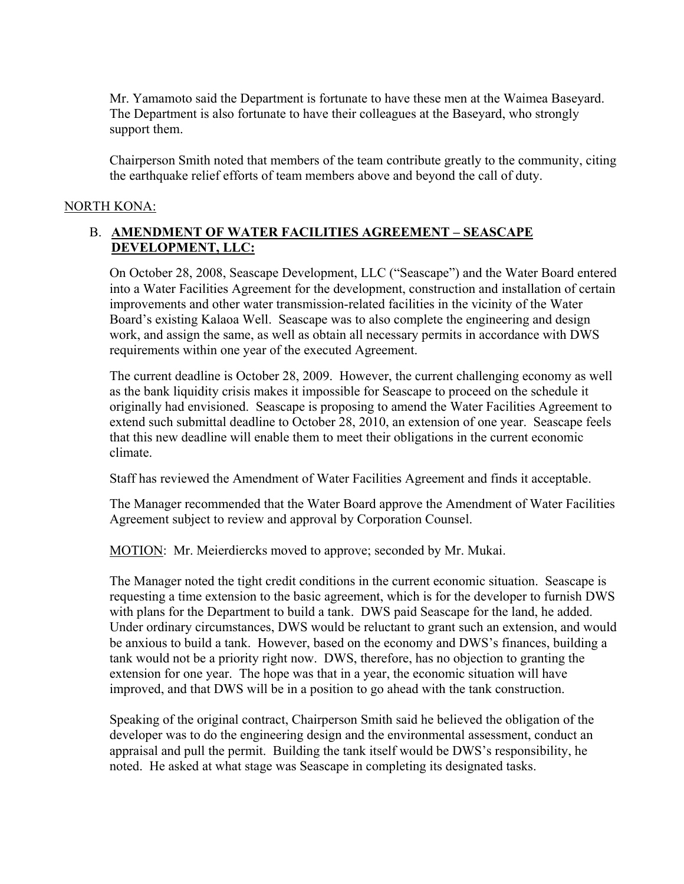Mr. Yamamoto said the Department is fortunate to have these men at the Waimea Baseyard. The Department is also fortunate to have their colleagues at the Baseyard, who strongly support them.

Chairperson Smith noted that members of the team contribute greatly to the community, citing the earthquake relief efforts of team members above and beyond the call of duty.

#### NORTH KONA:

# B. **AMENDMENT OF WATER FACILITIES AGREEMENT – SEASCAPE DEVELOPMENT, LLC:**

On October 28, 2008, Seascape Development, LLC ("Seascape") and the Water Board entered into a Water Facilities Agreement for the development, construction and installation of certain improvements and other water transmission-related facilities in the vicinity of the Water Board's existing Kalaoa Well. Seascape was to also complete the engineering and design work, and assign the same, as well as obtain all necessary permits in accordance with DWS requirements within one year of the executed Agreement.

The current deadline is October 28, 2009. However, the current challenging economy as well as the bank liquidity crisis makes it impossible for Seascape to proceed on the schedule it originally had envisioned. Seascape is proposing to amend the Water Facilities Agreement to extend such submittal deadline to October 28, 2010, an extension of one year. Seascape feels that this new deadline will enable them to meet their obligations in the current economic climate.

Staff has reviewed the Amendment of Water Facilities Agreement and finds it acceptable.

The Manager recommended that the Water Board approve the Amendment of Water Facilities Agreement subject to review and approval by Corporation Counsel.

MOTION: Mr. Meierdiercks moved to approve; seconded by Mr. Mukai.

The Manager noted the tight credit conditions in the current economic situation. Seascape is requesting a time extension to the basic agreement, which is for the developer to furnish DWS with plans for the Department to build a tank. DWS paid Seascape for the land, he added. Under ordinary circumstances, DWS would be reluctant to grant such an extension, and would be anxious to build a tank. However, based on the economy and DWS's finances, building a tank would not be a priority right now. DWS, therefore, has no objection to granting the extension for one year. The hope was that in a year, the economic situation will have improved, and that DWS will be in a position to go ahead with the tank construction.

Speaking of the original contract, Chairperson Smith said he believed the obligation of the developer was to do the engineering design and the environmental assessment, conduct an appraisal and pull the permit. Building the tank itself would be DWS's responsibility, he noted. He asked at what stage was Seascape in completing its designated tasks.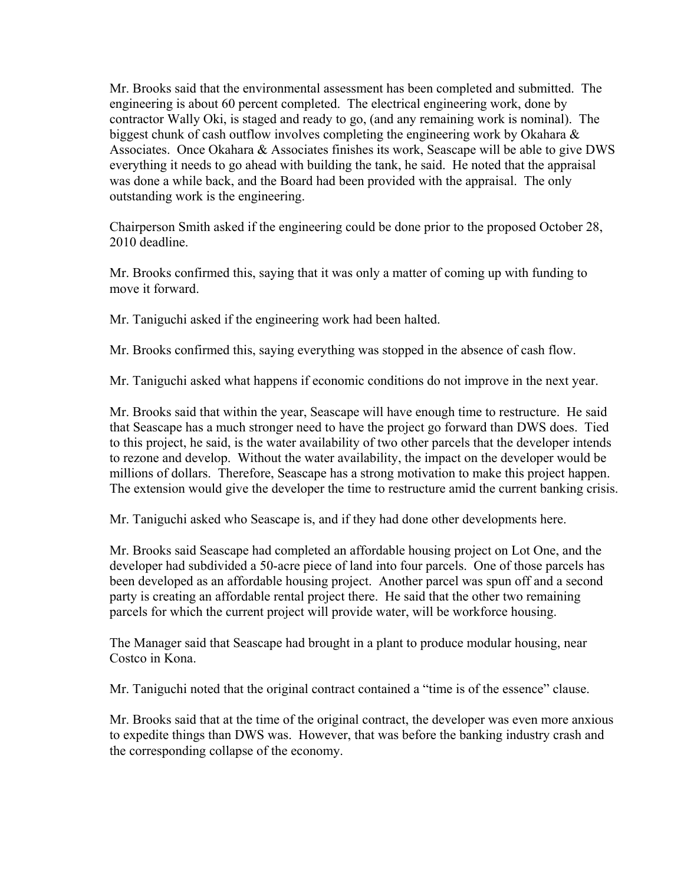Mr. Brooks said that the environmental assessment has been completed and submitted. The engineering is about 60 percent completed. The electrical engineering work, done by contractor Wally Oki, is staged and ready to go, (and any remaining work is nominal). The biggest chunk of cash outflow involves completing the engineering work by Okahara & Associates. Once Okahara & Associates finishes its work, Seascape will be able to give DWS everything it needs to go ahead with building the tank, he said. He noted that the appraisal was done a while back, and the Board had been provided with the appraisal. The only outstanding work is the engineering.

Chairperson Smith asked if the engineering could be done prior to the proposed October 28, 2010 deadline.

Mr. Brooks confirmed this, saying that it was only a matter of coming up with funding to move it forward.

Mr. Taniguchi asked if the engineering work had been halted.

Mr. Brooks confirmed this, saying everything was stopped in the absence of cash flow.

Mr. Taniguchi asked what happens if economic conditions do not improve in the next year.

Mr. Brooks said that within the year, Seascape will have enough time to restructure. He said that Seascape has a much stronger need to have the project go forward than DWS does. Tied to this project, he said, is the water availability of two other parcels that the developer intends to rezone and develop. Without the water availability, the impact on the developer would be millions of dollars. Therefore, Seascape has a strong motivation to make this project happen. The extension would give the developer the time to restructure amid the current banking crisis.

Mr. Taniguchi asked who Seascape is, and if they had done other developments here.

Mr. Brooks said Seascape had completed an affordable housing project on Lot One, and the developer had subdivided a 50-acre piece of land into four parcels. One of those parcels has been developed as an affordable housing project. Another parcel was spun off and a second party is creating an affordable rental project there. He said that the other two remaining parcels for which the current project will provide water, will be workforce housing.

The Manager said that Seascape had brought in a plant to produce modular housing, near Costco in Kona.

Mr. Taniguchi noted that the original contract contained a "time is of the essence" clause.

Mr. Brooks said that at the time of the original contract, the developer was even more anxious to expedite things than DWS was. However, that was before the banking industry crash and the corresponding collapse of the economy.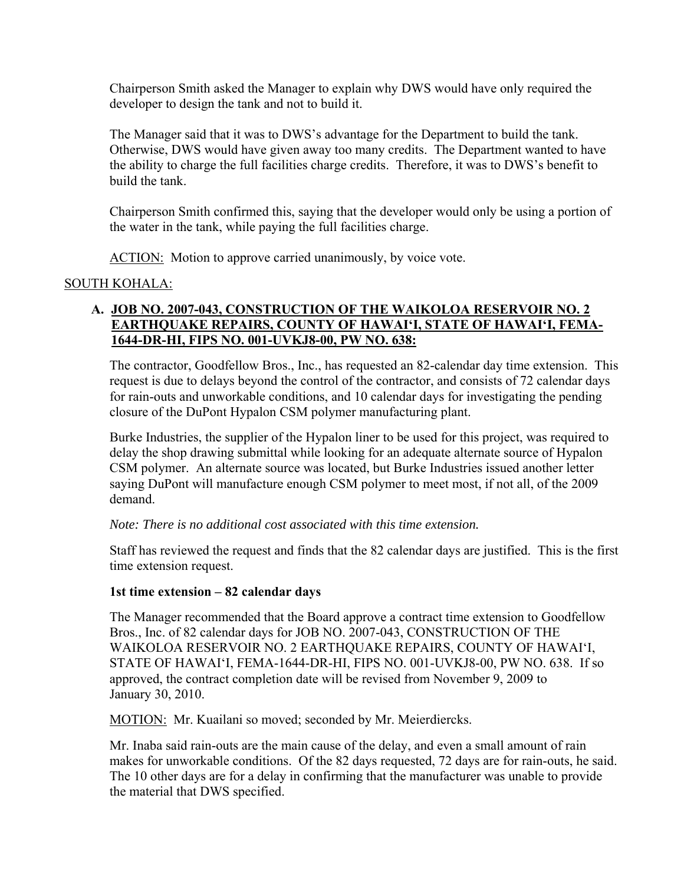Chairperson Smith asked the Manager to explain why DWS would have only required the developer to design the tank and not to build it.

The Manager said that it was to DWS's advantage for the Department to build the tank. Otherwise, DWS would have given away too many credits. The Department wanted to have the ability to charge the full facilities charge credits. Therefore, it was to DWS's benefit to build the tank.

Chairperson Smith confirmed this, saying that the developer would only be using a portion of the water in the tank, while paying the full facilities charge.

ACTION: Motion to approve carried unanimously, by voice vote.

## SOUTH KOHALA:

## **A. JOB NO. 2007-043, CONSTRUCTION OF THE WAIKOLOA RESERVOIR NO. 2 EARTHQUAKE REPAIRS, COUNTY OF HAWAI'I, STATE OF HAWAI'I, FEMA-1644-DR-HI, FIPS NO. 001-UVKJ8-00, PW NO. 638:**

The contractor, Goodfellow Bros., Inc., has requested an 82-calendar day time extension. This request is due to delays beyond the control of the contractor, and consists of 72 calendar days for rain-outs and unworkable conditions, and 10 calendar days for investigating the pending closure of the DuPont Hypalon CSM polymer manufacturing plant.

Burke Industries, the supplier of the Hypalon liner to be used for this project, was required to delay the shop drawing submittal while looking for an adequate alternate source of Hypalon CSM polymer. An alternate source was located, but Burke Industries issued another letter saying DuPont will manufacture enough CSM polymer to meet most, if not all, of the 2009 demand.

*Note: There is no additional cost associated with this time extension.* 

Staff has reviewed the request and finds that the 82 calendar days are justified. This is the first time extension request.

## **1st time extension – 82 calendar days**

The Manager recommended that the Board approve a contract time extension to Goodfellow Bros., Inc. of 82 calendar days for JOB NO. 2007-043, CONSTRUCTION OF THE WAIKOLOA RESERVOIR NO. 2 EARTHQUAKE REPAIRS, COUNTY OF HAWAI'I, STATE OF HAWAI'I, FEMA-1644-DR-HI, FIPS NO. 001-UVKJ8-00, PW NO. 638. If so approved, the contract completion date will be revised from November 9, 2009 to January 30, 2010.

MOTION: Mr. Kuailani so moved; seconded by Mr. Meierdiercks.

Mr. Inaba said rain-outs are the main cause of the delay, and even a small amount of rain makes for unworkable conditions. Of the 82 days requested, 72 days are for rain-outs, he said. The 10 other days are for a delay in confirming that the manufacturer was unable to provide the material that DWS specified.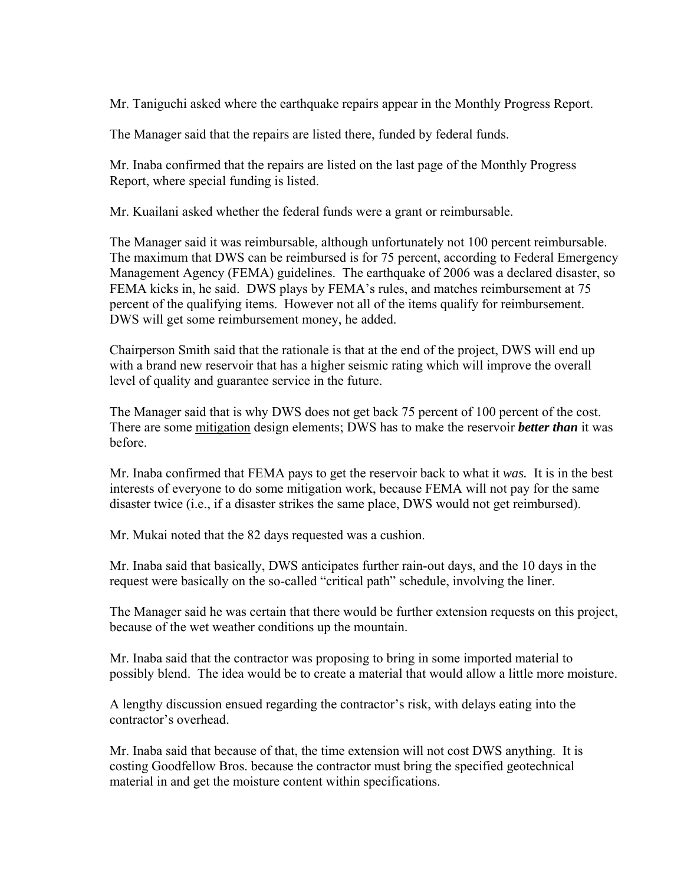Mr. Taniguchi asked where the earthquake repairs appear in the Monthly Progress Report.

The Manager said that the repairs are listed there, funded by federal funds.

Mr. Inaba confirmed that the repairs are listed on the last page of the Monthly Progress Report, where special funding is listed.

Mr. Kuailani asked whether the federal funds were a grant or reimbursable.

The Manager said it was reimbursable, although unfortunately not 100 percent reimbursable. The maximum that DWS can be reimbursed is for 75 percent, according to Federal Emergency Management Agency (FEMA) guidelines. The earthquake of 2006 was a declared disaster, so FEMA kicks in, he said. DWS plays by FEMA's rules, and matches reimbursement at 75 percent of the qualifying items. However not all of the items qualify for reimbursement. DWS will get some reimbursement money, he added.

Chairperson Smith said that the rationale is that at the end of the project, DWS will end up with a brand new reservoir that has a higher seismic rating which will improve the overall level of quality and guarantee service in the future.

The Manager said that is why DWS does not get back 75 percent of 100 percent of the cost. There are some mitigation design elements; DWS has to make the reservoir *better than* it was before.

Mr. Inaba confirmed that FEMA pays to get the reservoir back to what it *was.* It is in the best interests of everyone to do some mitigation work, because FEMA will not pay for the same disaster twice (i.e., if a disaster strikes the same place, DWS would not get reimbursed).

Mr. Mukai noted that the 82 days requested was a cushion.

Mr. Inaba said that basically, DWS anticipates further rain-out days, and the 10 days in the request were basically on the so-called "critical path" schedule, involving the liner.

The Manager said he was certain that there would be further extension requests on this project, because of the wet weather conditions up the mountain.

Mr. Inaba said that the contractor was proposing to bring in some imported material to possibly blend. The idea would be to create a material that would allow a little more moisture.

A lengthy discussion ensued regarding the contractor's risk, with delays eating into the contractor's overhead.

Mr. Inaba said that because of that, the time extension will not cost DWS anything. It is costing Goodfellow Bros. because the contractor must bring the specified geotechnical material in and get the moisture content within specifications.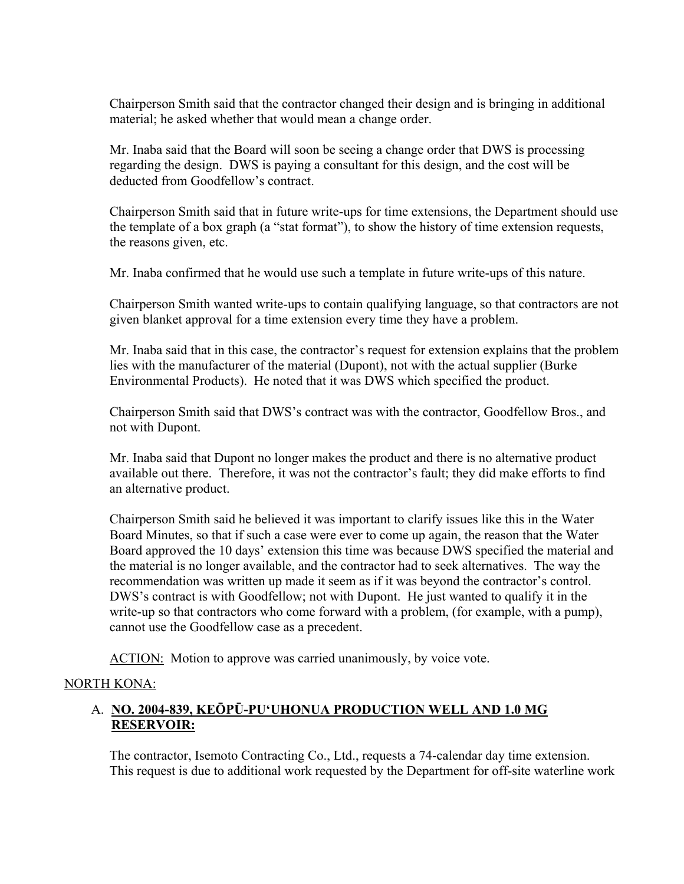Chairperson Smith said that the contractor changed their design and is bringing in additional material; he asked whether that would mean a change order.

Mr. Inaba said that the Board will soon be seeing a change order that DWS is processing regarding the design. DWS is paying a consultant for this design, and the cost will be deducted from Goodfellow's contract.

Chairperson Smith said that in future write-ups for time extensions, the Department should use the template of a box graph (a "stat format"), to show the history of time extension requests, the reasons given, etc.

Mr. Inaba confirmed that he would use such a template in future write-ups of this nature.

Chairperson Smith wanted write-ups to contain qualifying language, so that contractors are not given blanket approval for a time extension every time they have a problem.

Mr. Inaba said that in this case, the contractor's request for extension explains that the problem lies with the manufacturer of the material (Dupont), not with the actual supplier (Burke Environmental Products). He noted that it was DWS which specified the product.

Chairperson Smith said that DWS's contract was with the contractor, Goodfellow Bros., and not with Dupont.

Mr. Inaba said that Dupont no longer makes the product and there is no alternative product available out there. Therefore, it was not the contractor's fault; they did make efforts to find an alternative product.

Chairperson Smith said he believed it was important to clarify issues like this in the Water Board Minutes, so that if such a case were ever to come up again, the reason that the Water Board approved the 10 days' extension this time was because DWS specified the material and the material is no longer available, and the contractor had to seek alternatives. The way the recommendation was written up made it seem as if it was beyond the contractor's control. DWS's contract is with Goodfellow; not with Dupont. He just wanted to qualify it in the write-up so that contractors who come forward with a problem, (for example, with a pump), cannot use the Goodfellow case as a precedent.

ACTION: Motion to approve was carried unanimously, by voice vote.

## NORTH KONA:

## A. **NO. 2004-839, KEŌPŪ-PU'UHONUA PRODUCTION WELL AND 1.0 MG RESERVOIR:**

The contractor, Isemoto Contracting Co., Ltd., requests a 74-calendar day time extension. This request is due to additional work requested by the Department for off-site waterline work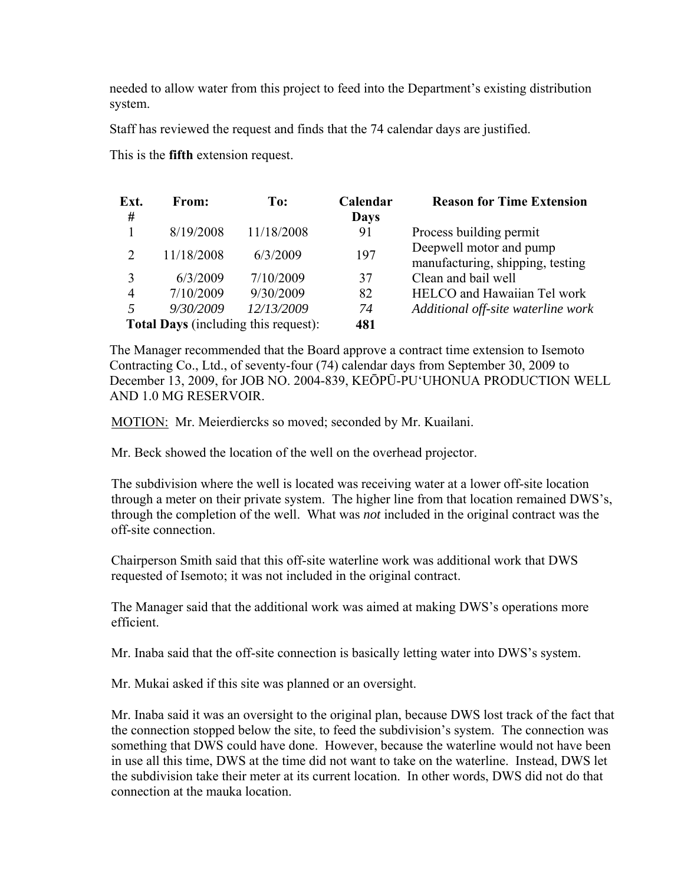needed to allow water from this project to feed into the Department's existing distribution system.

Staff has reviewed the request and finds that the 74 calendar days are justified.

This is the **fifth** extension request.

| Ext.<br># | From:      | To:                                         | Calendar<br><b>Days</b> | <b>Reason for Time Extension</b>                            |
|-----------|------------|---------------------------------------------|-------------------------|-------------------------------------------------------------|
|           | 8/19/2008  | 11/18/2008                                  | 91                      | Process building permit                                     |
|           | 11/18/2008 | 6/3/2009                                    | 197                     | Deepwell motor and pump<br>manufacturing, shipping, testing |
|           | 6/3/2009   | 7/10/2009                                   | 37                      | Clean and bail well                                         |
| 4         | 7/10/2009  | 9/30/2009                                   | 82                      | HELCO and Hawaiian Tel work                                 |
|           | 9/30/2009  | 12/13/2009                                  | 74                      | Additional off-site waterline work                          |
|           |            | <b>Total Days</b> (including this request): | 481                     |                                                             |

The Manager recommended that the Board approve a contract time extension to Isemoto Contracting Co., Ltd., of seventy-four (74) calendar days from September 30, 2009 to December 13, 2009, for JOB NO. 2004-839, KEŌPŪ-PU'UHONUA PRODUCTION WELL AND 1.0 MG RESERVOIR.

MOTION: Mr. Meierdiercks so moved; seconded by Mr. Kuailani.

Mr. Beck showed the location of the well on the overhead projector.

The subdivision where the well is located was receiving water at a lower off-site location through a meter on their private system. The higher line from that location remained DWS's, through the completion of the well. What was *not* included in the original contract was the off-site connection.

Chairperson Smith said that this off-site waterline work was additional work that DWS requested of Isemoto; it was not included in the original contract.

The Manager said that the additional work was aimed at making DWS's operations more efficient.

Mr. Inaba said that the off-site connection is basically letting water into DWS's system.

Mr. Mukai asked if this site was planned or an oversight.

Mr. Inaba said it was an oversight to the original plan, because DWS lost track of the fact that the connection stopped below the site, to feed the subdivision's system. The connection was something that DWS could have done. However, because the waterline would not have been in use all this time, DWS at the time did not want to take on the waterline. Instead, DWS let the subdivision take their meter at its current location. In other words, DWS did not do that connection at the mauka location.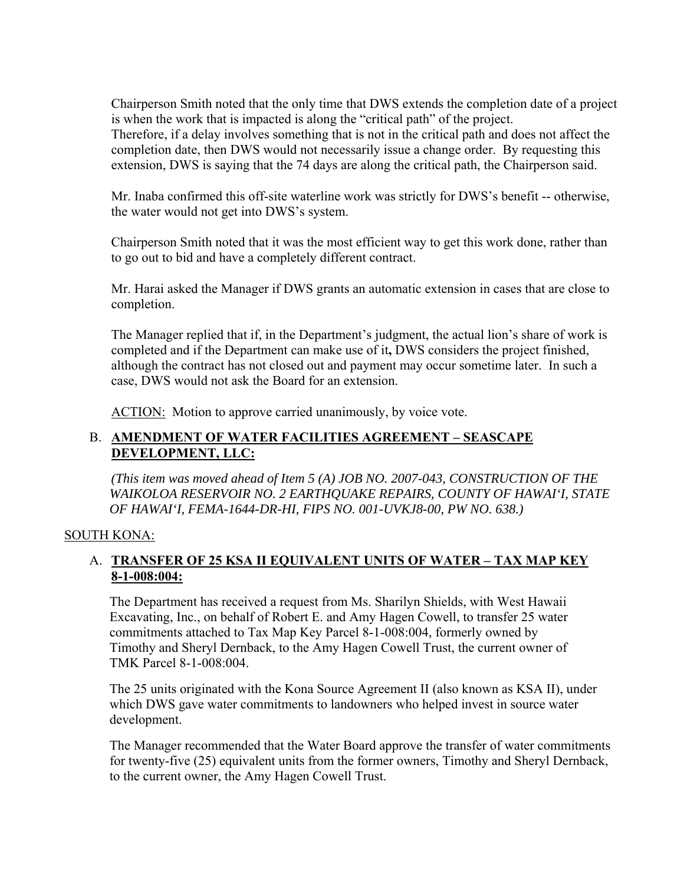Chairperson Smith noted that the only time that DWS extends the completion date of a project is when the work that is impacted is along the "critical path" of the project.

Therefore, if a delay involves something that is not in the critical path and does not affect the completion date, then DWS would not necessarily issue a change order. By requesting this extension, DWS is saying that the 74 days are along the critical path, the Chairperson said.

Mr. Inaba confirmed this off-site waterline work was strictly for DWS's benefit -- otherwise, the water would not get into DWS's system.

Chairperson Smith noted that it was the most efficient way to get this work done, rather than to go out to bid and have a completely different contract.

Mr. Harai asked the Manager if DWS grants an automatic extension in cases that are close to completion.

The Manager replied that if, in the Department's judgment, the actual lion's share of work is completed and if the Department can make use of it**,** DWS considers the project finished, although the contract has not closed out and payment may occur sometime later. In such a case, DWS would not ask the Board for an extension.

ACTION: Motion to approve carried unanimously, by voice vote.

## B. **AMENDMENT OF WATER FACILITIES AGREEMENT – SEASCAPE DEVELOPMENT, LLC:**

*(This item was moved ahead of Item 5 (A) JOB NO. 2007-043, CONSTRUCTION OF THE WAIKOLOA RESERVOIR NO. 2 EARTHQUAKE REPAIRS, COUNTY OF HAWAI'I, STATE OF HAWAI'I, FEMA-1644-DR-HI, FIPS NO. 001-UVKJ8-00, PW NO. 638.)* 

## SOUTH KONA:

## A. **TRANSFER OF 25 KSA II EQUIVALENT UNITS OF WATER – TAX MAP KEY 8-1-008:004:**

The Department has received a request from Ms. Sharilyn Shields, with West Hawaii Excavating, Inc., on behalf of Robert E. and Amy Hagen Cowell, to transfer 25 water commitments attached to Tax Map Key Parcel 8-1-008:004, formerly owned by Timothy and Sheryl Dernback, to the Amy Hagen Cowell Trust, the current owner of TMK Parcel 8-1-008:004.

The 25 units originated with the Kona Source Agreement II (also known as KSA II), under which DWS gave water commitments to landowners who helped invest in source water development.

The Manager recommended that the Water Board approve the transfer of water commitments for twenty-five (25) equivalent units from the former owners, Timothy and Sheryl Dernback, to the current owner, the Amy Hagen Cowell Trust.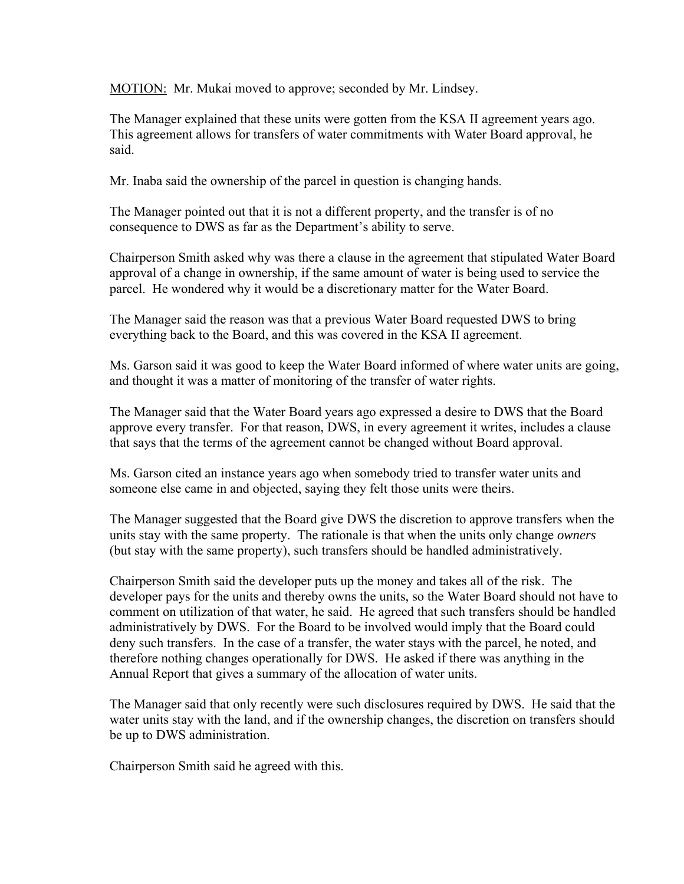MOTION: Mr. Mukai moved to approve; seconded by Mr. Lindsey.

The Manager explained that these units were gotten from the KSA II agreement years ago. This agreement allows for transfers of water commitments with Water Board approval, he said.

Mr. Inaba said the ownership of the parcel in question is changing hands.

The Manager pointed out that it is not a different property, and the transfer is of no consequence to DWS as far as the Department's ability to serve.

Chairperson Smith asked why was there a clause in the agreement that stipulated Water Board approval of a change in ownership, if the same amount of water is being used to service the parcel. He wondered why it would be a discretionary matter for the Water Board.

The Manager said the reason was that a previous Water Board requested DWS to bring everything back to the Board, and this was covered in the KSA II agreement.

Ms. Garson said it was good to keep the Water Board informed of where water units are going, and thought it was a matter of monitoring of the transfer of water rights.

The Manager said that the Water Board years ago expressed a desire to DWS that the Board approve every transfer. For that reason, DWS, in every agreement it writes, includes a clause that says that the terms of the agreement cannot be changed without Board approval.

Ms. Garson cited an instance years ago when somebody tried to transfer water units and someone else came in and objected, saying they felt those units were theirs.

The Manager suggested that the Board give DWS the discretion to approve transfers when the units stay with the same property. The rationale is that when the units only change *owners*  (but stay with the same property), such transfers should be handled administratively.

Chairperson Smith said the developer puts up the money and takes all of the risk. The developer pays for the units and thereby owns the units, so the Water Board should not have to comment on utilization of that water, he said. He agreed that such transfers should be handled administratively by DWS. For the Board to be involved would imply that the Board could deny such transfers. In the case of a transfer, the water stays with the parcel, he noted, and therefore nothing changes operationally for DWS. He asked if there was anything in the Annual Report that gives a summary of the allocation of water units.

The Manager said that only recently were such disclosures required by DWS. He said that the water units stay with the land, and if the ownership changes, the discretion on transfers should be up to DWS administration.

Chairperson Smith said he agreed with this.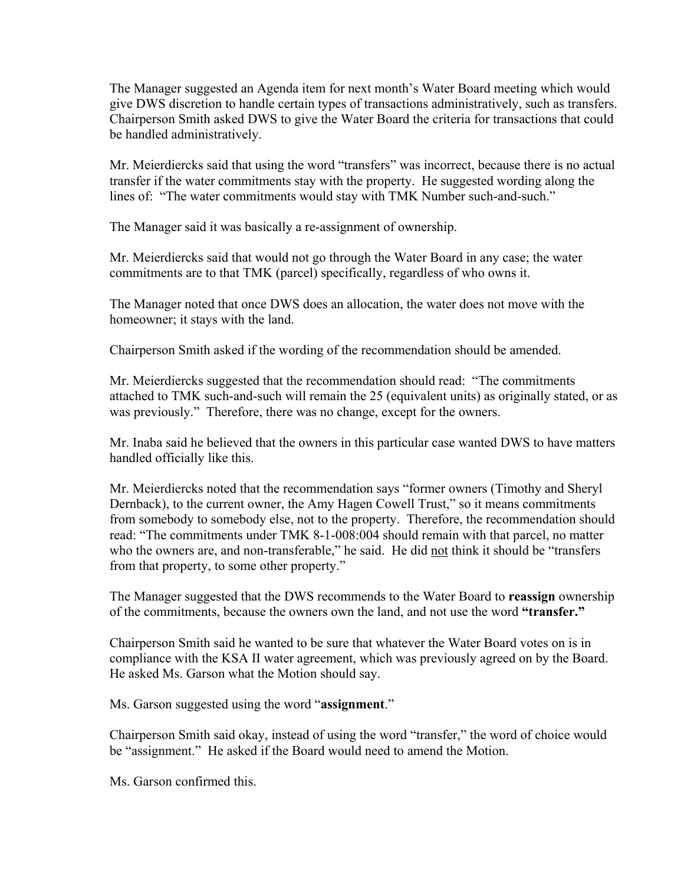The Manager suggested an Agenda item for next month's Water Board meeting which would give DWS discretion to handle certain types of transactions administratively, such as transfers. Chairperson Smith asked DWS to give the Water Board the criteria for transactions that could be handled administratively.

Mr. Meierdiercks said that using the word "transfers" was incorrect, because there is no actual transfer if the water commitments stay with the property. He suggested wording along the lines of: "The water commitments would stay with TMK Number such-and-such."

The Manager said it was basically a re-assignment of ownership.

Mr. Meierdiercks said that would not go through the Water Board in any case; the water commitments are to that TMK (parcel) specifically, regardless of who owns it.

The Manager noted that once DWS does an allocation, the water does not move with the homeowner; it stays with the land.

Chairperson Smith asked if the wording of the recommendation should be amended.

Mr. Meierdiercks suggested that the recommendation should read: "The commitments attached to TMK such-and-such will remain the 25 (equivalent units) as originally stated, or as was previously." Therefore, there was no change, except for the owners.

Mr. Inaba said he believed that the owners in this particular case wanted DWS to have matters handled officially like this.

Mr. Meierdiercks noted that the recommendation says "former owners (Timothy and Sheryl Dernback), to the current owner, the Amy Hagen Cowell Trust," so it means commitments from somebody to somebody else, not to the property. Therefore, the recommendation should read: "The commitments under TMK 8-1-008:004 should remain with that parcel, no matter who the owners are, and non-transferable," he said. He did not think it should be "transfers from that property, to some other property."

The Manager suggested that the DWS recommends to the Water Board to **reassign** ownership of the commitments, because the owners own the land, and not use the word **"transfer."**

Chairperson Smith said he wanted to be sure that whatever the Water Board votes on is in compliance with the KSA II water agreement, which was previously agreed on by the Board. He asked Ms. Garson what the Motion should say.

Ms. Garson suggested using the word "**assignment**."

Chairperson Smith said okay, instead of using the word "transfer," the word of choice would be "assignment." He asked if the Board would need to amend the Motion.

Ms. Garson confirmed this.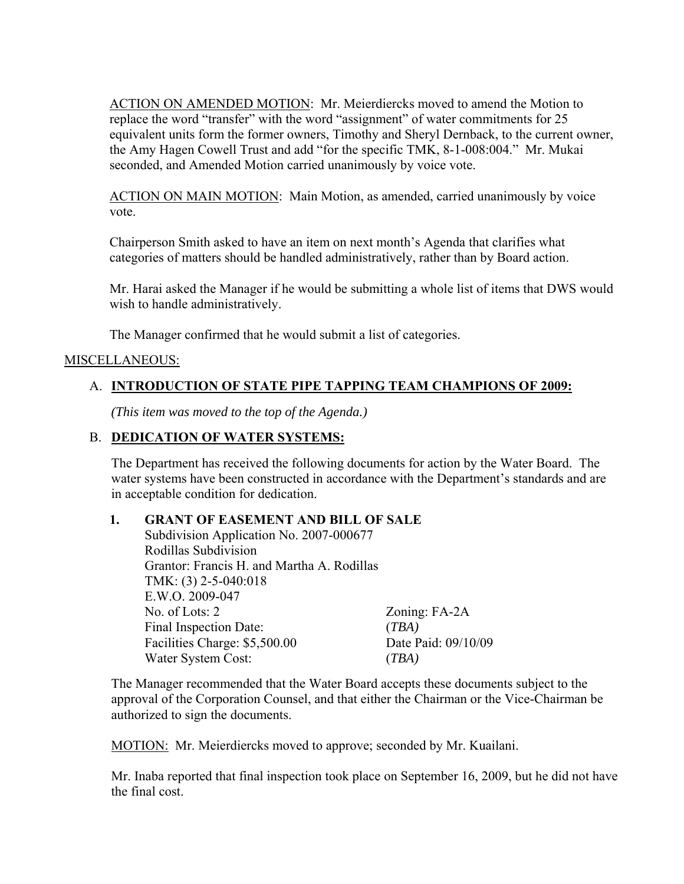ACTION ON AMENDED MOTION: Mr. Meierdiercks moved to amend the Motion to replace the word "transfer" with the word "assignment" of water commitments for 25 equivalent units form the former owners, Timothy and Sheryl Dernback, to the current owner, the Amy Hagen Cowell Trust and add "for the specific TMK, 8-1-008:004." Mr. Mukai seconded, and Amended Motion carried unanimously by voice vote.

ACTION ON MAIN MOTION: Main Motion, as amended, carried unanimously by voice vote.

Chairperson Smith asked to have an item on next month's Agenda that clarifies what categories of matters should be handled administratively, rather than by Board action.

Mr. Harai asked the Manager if he would be submitting a whole list of items that DWS would wish to handle administratively.

The Manager confirmed that he would submit a list of categories.

### MISCELLANEOUS:

## A. **INTRODUCTION OF STATE PIPE TAPPING TEAM CHAMPIONS OF 2009:**

*(This item was moved to the top of the Agenda.)* 

#### B. **DEDICATION OF WATER SYSTEMS:**

The Department has received the following documents for action by the Water Board. The water systems have been constructed in accordance with the Department's standards and are in acceptable condition for dedication.

#### **1. GRANT OF EASEMENT AND BILL OF SALE**

Subdivision Application No. 2007-000677 Rodillas Subdivision Grantor: Francis H. and Martha A. Rodillas TMK: (3) 2-5-040:018 E.W.O. 2009-047 No. of Lots: 2 Zoning: FA-2A Final Inspection Date: (*TBA)* Facilities Charge: \$5,500.00 Date Paid: 09/10/09 Water System Cost: (*TBA)* 

The Manager recommended that the Water Board accepts these documents subject to the approval of the Corporation Counsel, and that either the Chairman or the Vice-Chairman be authorized to sign the documents.

MOTION: Mr. Meierdiercks moved to approve; seconded by Mr. Kuailani.

Mr. Inaba reported that final inspection took place on September 16, 2009, but he did not have the final cost.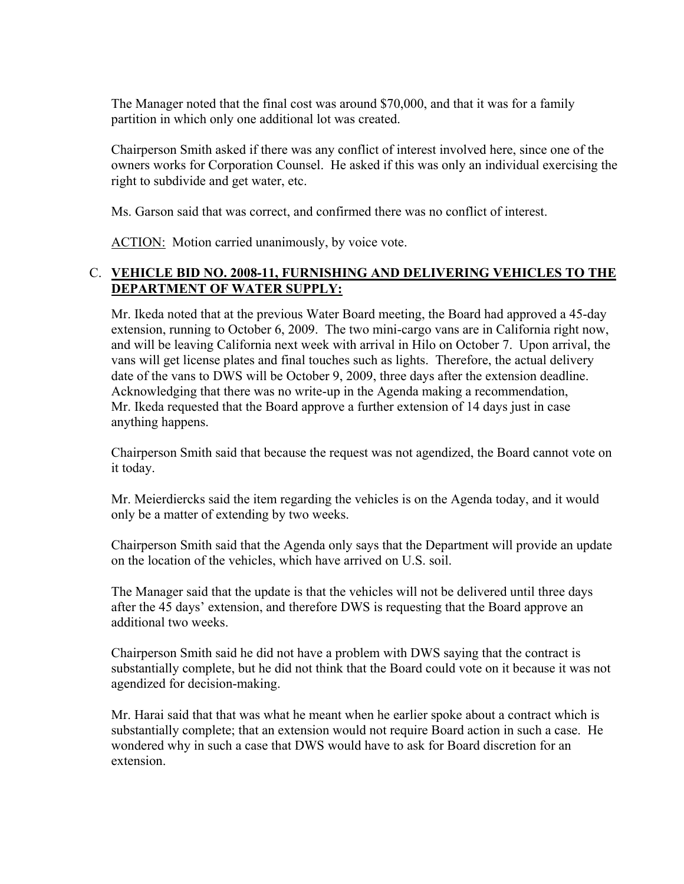The Manager noted that the final cost was around \$70,000, and that it was for a family partition in which only one additional lot was created.

Chairperson Smith asked if there was any conflict of interest involved here, since one of the owners works for Corporation Counsel. He asked if this was only an individual exercising the right to subdivide and get water, etc.

Ms. Garson said that was correct, and confirmed there was no conflict of interest.

ACTION: Motion carried unanimously, by voice vote.

# C. **VEHICLE BID NO. 2008-11, FURNISHING AND DELIVERING VEHICLES TO THE DEPARTMENT OF WATER SUPPLY:**

Mr. Ikeda noted that at the previous Water Board meeting, the Board had approved a 45-day extension, running to October 6, 2009. The two mini-cargo vans are in California right now, and will be leaving California next week with arrival in Hilo on October 7. Upon arrival, the vans will get license plates and final touches such as lights. Therefore, the actual delivery date of the vans to DWS will be October 9, 2009, three days after the extension deadline. Acknowledging that there was no write-up in the Agenda making a recommendation, Mr. Ikeda requested that the Board approve a further extension of 14 days just in case anything happens.

Chairperson Smith said that because the request was not agendized, the Board cannot vote on it today.

Mr. Meierdiercks said the item regarding the vehicles is on the Agenda today, and it would only be a matter of extending by two weeks.

Chairperson Smith said that the Agenda only says that the Department will provide an update on the location of the vehicles, which have arrived on U.S. soil.

The Manager said that the update is that the vehicles will not be delivered until three days after the 45 days' extension, and therefore DWS is requesting that the Board approve an additional two weeks.

Chairperson Smith said he did not have a problem with DWS saying that the contract is substantially complete, but he did not think that the Board could vote on it because it was not agendized for decision-making.

Mr. Harai said that that was what he meant when he earlier spoke about a contract which is substantially complete; that an extension would not require Board action in such a case. He wondered why in such a case that DWS would have to ask for Board discretion for an extension.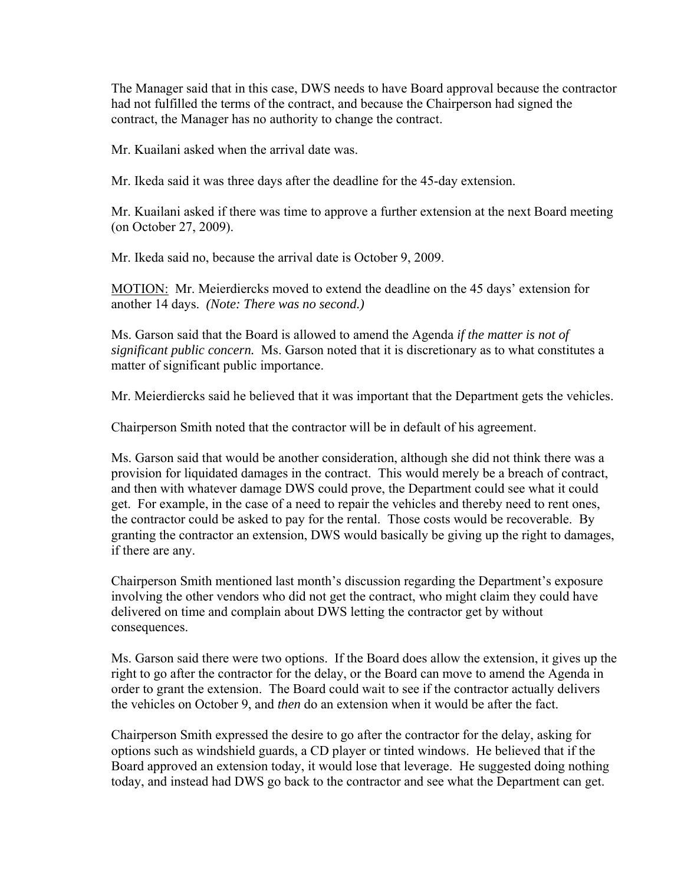The Manager said that in this case, DWS needs to have Board approval because the contractor had not fulfilled the terms of the contract, and because the Chairperson had signed the contract, the Manager has no authority to change the contract.

Mr. Kuailani asked when the arrival date was.

Mr. Ikeda said it was three days after the deadline for the 45-day extension.

Mr. Kuailani asked if there was time to approve a further extension at the next Board meeting (on October 27, 2009).

Mr. Ikeda said no, because the arrival date is October 9, 2009.

MOTION: Mr. Meierdiercks moved to extend the deadline on the 45 days' extension for another 14 days. *(Note: There was no second.)*

Ms. Garson said that the Board is allowed to amend the Agenda *if the matter is not of significant public concern.* Ms. Garson noted that it is discretionary as to what constitutes a matter of significant public importance.

Mr. Meierdiercks said he believed that it was important that the Department gets the vehicles.

Chairperson Smith noted that the contractor will be in default of his agreement.

Ms. Garson said that would be another consideration, although she did not think there was a provision for liquidated damages in the contract. This would merely be a breach of contract, and then with whatever damage DWS could prove, the Department could see what it could get. For example, in the case of a need to repair the vehicles and thereby need to rent ones, the contractor could be asked to pay for the rental. Those costs would be recoverable. By granting the contractor an extension, DWS would basically be giving up the right to damages, if there are any.

Chairperson Smith mentioned last month's discussion regarding the Department's exposure involving the other vendors who did not get the contract, who might claim they could have delivered on time and complain about DWS letting the contractor get by without consequences.

Ms. Garson said there were two options. If the Board does allow the extension, it gives up the right to go after the contractor for the delay, or the Board can move to amend the Agenda in order to grant the extension. The Board could wait to see if the contractor actually delivers the vehicles on October 9, and *then* do an extension when it would be after the fact.

Chairperson Smith expressed the desire to go after the contractor for the delay, asking for options such as windshield guards, a CD player or tinted windows. He believed that if the Board approved an extension today, it would lose that leverage. He suggested doing nothing today, and instead had DWS go back to the contractor and see what the Department can get.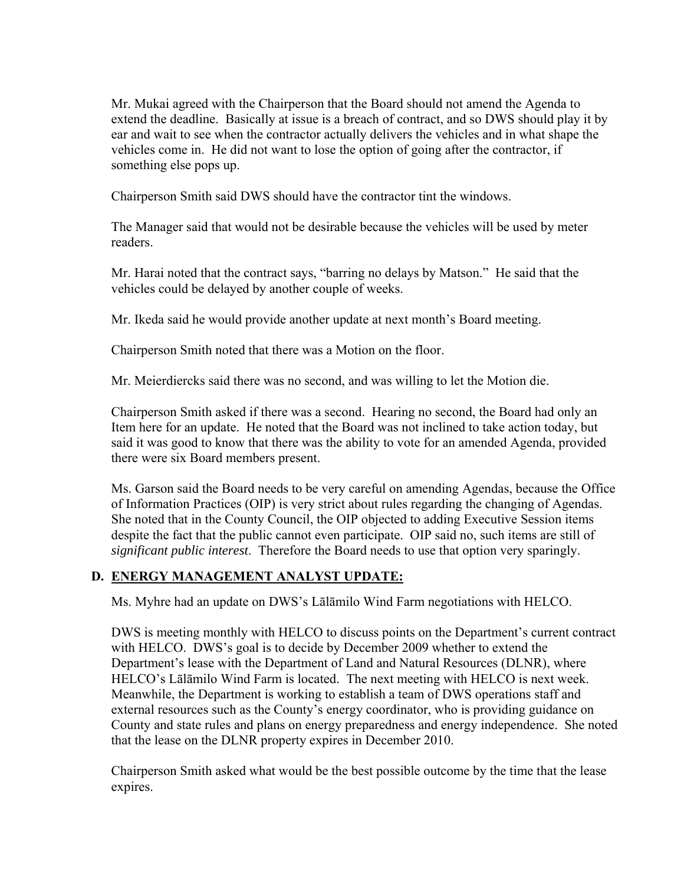Mr. Mukai agreed with the Chairperson that the Board should not amend the Agenda to extend the deadline. Basically at issue is a breach of contract, and so DWS should play it by ear and wait to see when the contractor actually delivers the vehicles and in what shape the vehicles come in. He did not want to lose the option of going after the contractor, if something else pops up.

Chairperson Smith said DWS should have the contractor tint the windows.

The Manager said that would not be desirable because the vehicles will be used by meter readers.

Mr. Harai noted that the contract says, "barring no delays by Matson." He said that the vehicles could be delayed by another couple of weeks.

Mr. Ikeda said he would provide another update at next month's Board meeting.

Chairperson Smith noted that there was a Motion on the floor.

Mr. Meierdiercks said there was no second, and was willing to let the Motion die.

Chairperson Smith asked if there was a second. Hearing no second, the Board had only an Item here for an update. He noted that the Board was not inclined to take action today, but said it was good to know that there was the ability to vote for an amended Agenda, provided there were six Board members present.

Ms. Garson said the Board needs to be very careful on amending Agendas, because the Office of Information Practices (OIP) is very strict about rules regarding the changing of Agendas. She noted that in the County Council, the OIP objected to adding Executive Session items despite the fact that the public cannot even participate. OIP said no, such items are still of *significant public interest*. Therefore the Board needs to use that option very sparingly.

## **D. ENERGY MANAGEMENT ANALYST UPDATE:**

Ms. Myhre had an update on DWS's Lālāmilo Wind Farm negotiations with HELCO.

DWS is meeting monthly with HELCO to discuss points on the Department's current contract with HELCO. DWS's goal is to decide by December 2009 whether to extend the Department's lease with the Department of Land and Natural Resources (DLNR), where HELCO's Lālāmilo Wind Farm is located. The next meeting with HELCO is next week. Meanwhile, the Department is working to establish a team of DWS operations staff and external resources such as the County's energy coordinator, who is providing guidance on County and state rules and plans on energy preparedness and energy independence. She noted that the lease on the DLNR property expires in December 2010.

Chairperson Smith asked what would be the best possible outcome by the time that the lease expires.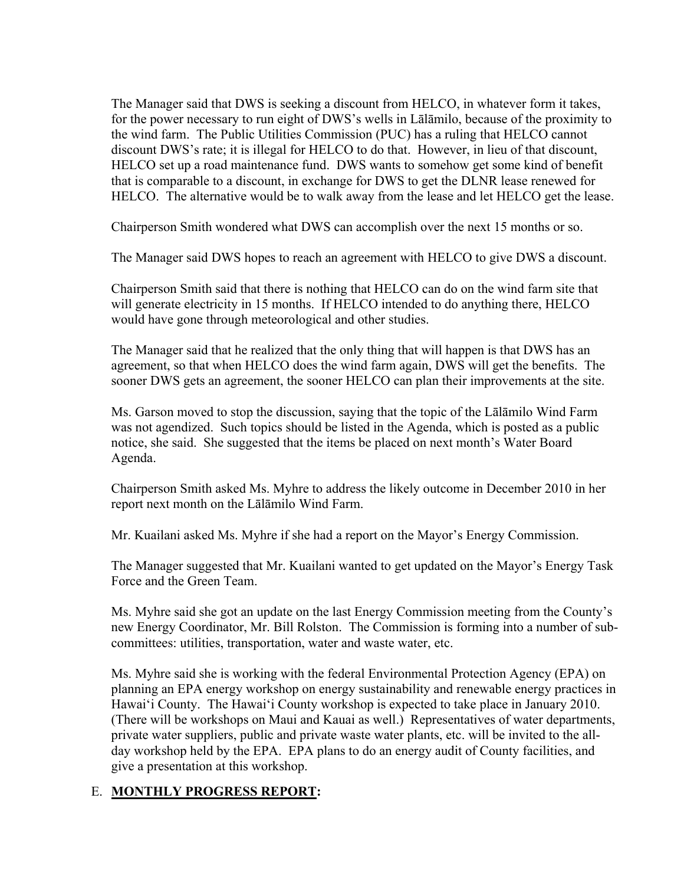The Manager said that DWS is seeking a discount from HELCO, in whatever form it takes, for the power necessary to run eight of DWS's wells in Lālāmilo, because of the proximity to the wind farm. The Public Utilities Commission (PUC) has a ruling that HELCO cannot discount DWS's rate; it is illegal for HELCO to do that. However, in lieu of that discount, HELCO set up a road maintenance fund. DWS wants to somehow get some kind of benefit that is comparable to a discount, in exchange for DWS to get the DLNR lease renewed for HELCO. The alternative would be to walk away from the lease and let HELCO get the lease.

Chairperson Smith wondered what DWS can accomplish over the next 15 months or so.

The Manager said DWS hopes to reach an agreement with HELCO to give DWS a discount.

Chairperson Smith said that there is nothing that HELCO can do on the wind farm site that will generate electricity in 15 months. If HELCO intended to do anything there, HELCO would have gone through meteorological and other studies.

The Manager said that he realized that the only thing that will happen is that DWS has an agreement, so that when HELCO does the wind farm again, DWS will get the benefits. The sooner DWS gets an agreement, the sooner HELCO can plan their improvements at the site.

Ms. Garson moved to stop the discussion, saying that the topic of the Lālāmilo Wind Farm was not agendized. Such topics should be listed in the Agenda, which is posted as a public notice, she said. She suggested that the items be placed on next month's Water Board Agenda.

Chairperson Smith asked Ms. Myhre to address the likely outcome in December 2010 in her report next month on the Lālāmilo Wind Farm.

Mr. Kuailani asked Ms. Myhre if she had a report on the Mayor's Energy Commission.

The Manager suggested that Mr. Kuailani wanted to get updated on the Mayor's Energy Task Force and the Green Team.

Ms. Myhre said she got an update on the last Energy Commission meeting from the County's new Energy Coordinator, Mr. Bill Rolston. The Commission is forming into a number of subcommittees: utilities, transportation, water and waste water, etc.

Ms. Myhre said she is working with the federal Environmental Protection Agency (EPA) on planning an EPA energy workshop on energy sustainability and renewable energy practices in Hawai'i County. The Hawai'i County workshop is expected to take place in January 2010. (There will be workshops on Maui and Kauai as well.) Representatives of water departments, private water suppliers, public and private waste water plants, etc. will be invited to the allday workshop held by the EPA. EPA plans to do an energy audit of County facilities, and give a presentation at this workshop.

## E. **MONTHLY PROGRESS REPORT:**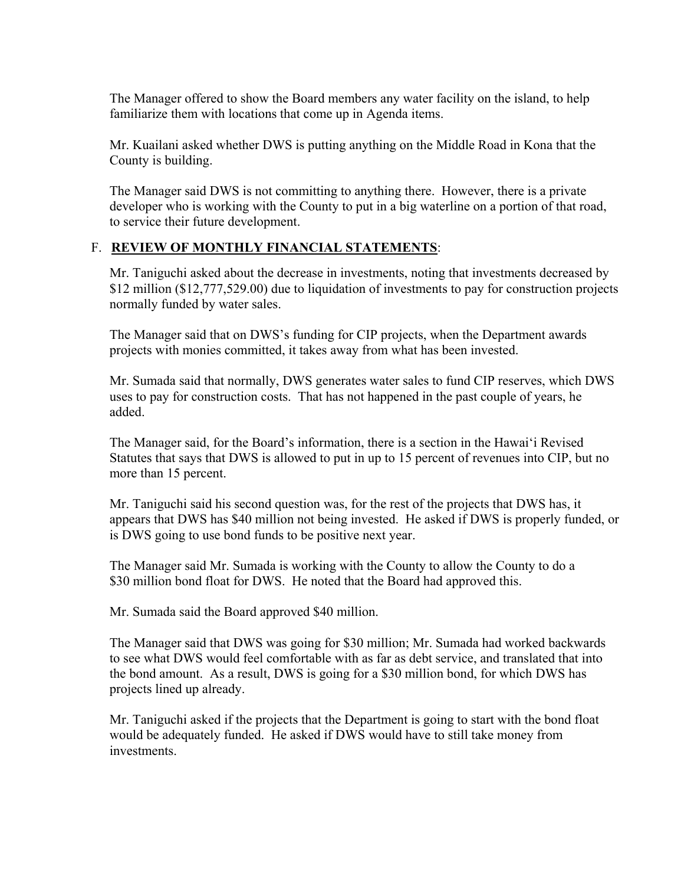The Manager offered to show the Board members any water facility on the island, to help familiarize them with locations that come up in Agenda items.

Mr. Kuailani asked whether DWS is putting anything on the Middle Road in Kona that the County is building.

The Manager said DWS is not committing to anything there. However, there is a private developer who is working with the County to put in a big waterline on a portion of that road, to service their future development.

### F. **REVIEW OF MONTHLY FINANCIAL STATEMENTS**:

Mr. Taniguchi asked about the decrease in investments, noting that investments decreased by \$12 million (\$12,777,529.00) due to liquidation of investments to pay for construction projects normally funded by water sales.

The Manager said that on DWS's funding for CIP projects, when the Department awards projects with monies committed, it takes away from what has been invested.

Mr. Sumada said that normally, DWS generates water sales to fund CIP reserves, which DWS uses to pay for construction costs. That has not happened in the past couple of years, he added.

The Manager said, for the Board's information, there is a section in the Hawai'i Revised Statutes that says that DWS is allowed to put in up to 15 percent of revenues into CIP, but no more than 15 percent.

Mr. Taniguchi said his second question was, for the rest of the projects that DWS has, it appears that DWS has \$40 million not being invested. He asked if DWS is properly funded, or is DWS going to use bond funds to be positive next year.

The Manager said Mr. Sumada is working with the County to allow the County to do a \$30 million bond float for DWS. He noted that the Board had approved this.

Mr. Sumada said the Board approved \$40 million.

The Manager said that DWS was going for \$30 million; Mr. Sumada had worked backwards to see what DWS would feel comfortable with as far as debt service, and translated that into the bond amount. As a result, DWS is going for a \$30 million bond, for which DWS has projects lined up already.

Mr. Taniguchi asked if the projects that the Department is going to start with the bond float would be adequately funded. He asked if DWS would have to still take money from investments.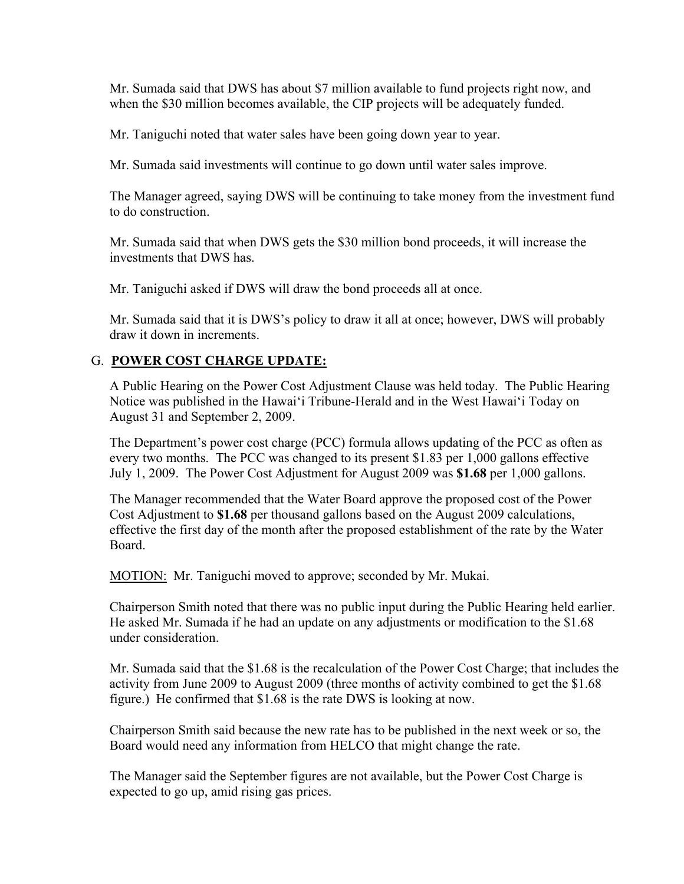Mr. Sumada said that DWS has about \$7 million available to fund projects right now, and when the \$30 million becomes available, the CIP projects will be adequately funded.

Mr. Taniguchi noted that water sales have been going down year to year.

Mr. Sumada said investments will continue to go down until water sales improve.

The Manager agreed, saying DWS will be continuing to take money from the investment fund to do construction.

Mr. Sumada said that when DWS gets the \$30 million bond proceeds, it will increase the investments that DWS has.

Mr. Taniguchi asked if DWS will draw the bond proceeds all at once.

Mr. Sumada said that it is DWS's policy to draw it all at once; however, DWS will probably draw it down in increments.

## G. **POWER COST CHARGE UPDATE:**

A Public Hearing on the Power Cost Adjustment Clause was held today. The Public Hearing Notice was published in the Hawai'i Tribune-Herald and in the West Hawai'i Today on August 31 and September 2, 2009.

The Department's power cost charge (PCC) formula allows updating of the PCC as often as every two months. The PCC was changed to its present \$1.83 per 1,000 gallons effective July 1, 2009. The Power Cost Adjustment for August 2009 was **\$1.68** per 1,000 gallons.

The Manager recommended that the Water Board approve the proposed cost of the Power Cost Adjustment to **\$1.68** per thousand gallons based on the August 2009 calculations, effective the first day of the month after the proposed establishment of the rate by the Water Board.

MOTION: Mr. Taniguchi moved to approve; seconded by Mr. Mukai.

Chairperson Smith noted that there was no public input during the Public Hearing held earlier. He asked Mr. Sumada if he had an update on any adjustments or modification to the \$1.68 under consideration.

Mr. Sumada said that the \$1.68 is the recalculation of the Power Cost Charge; that includes the activity from June 2009 to August 2009 (three months of activity combined to get the \$1.68 figure.) He confirmed that \$1.68 is the rate DWS is looking at now.

Chairperson Smith said because the new rate has to be published in the next week or so, the Board would need any information from HELCO that might change the rate.

The Manager said the September figures are not available, but the Power Cost Charge is expected to go up, amid rising gas prices.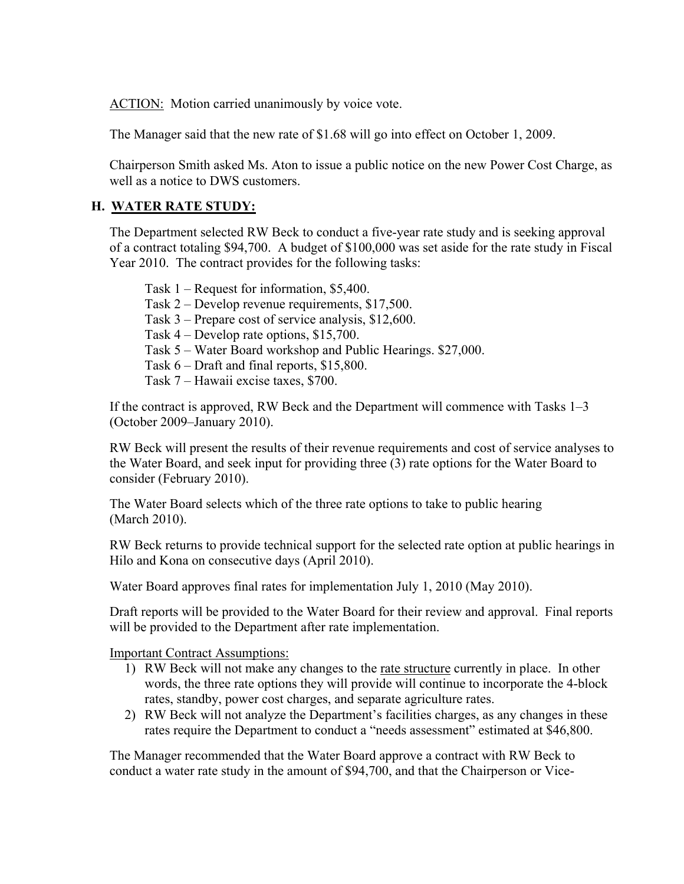ACTION: Motion carried unanimously by voice vote.

The Manager said that the new rate of \$1.68 will go into effect on October 1, 2009.

Chairperson Smith asked Ms. Aton to issue a public notice on the new Power Cost Charge, as well as a notice to DWS customers.

## **H. WATER RATE STUDY:**

The Department selected RW Beck to conduct a five-year rate study and is seeking approval of a contract totaling \$94,700. A budget of \$100,000 was set aside for the rate study in Fiscal Year 2010. The contract provides for the following tasks:

Task 1 – Request for information, \$5,400. Task 2 – Develop revenue requirements, \$17,500. Task 3 – Prepare cost of service analysis, \$12,600. Task 4 – Develop rate options, \$15,700. Task 5 – Water Board workshop and Public Hearings. \$27,000. Task 6 – Draft and final reports, \$15,800. Task 7 – Hawaii excise taxes, \$700.

If the contract is approved, RW Beck and the Department will commence with Tasks 1–3 (October 2009–January 2010).

RW Beck will present the results of their revenue requirements and cost of service analyses to the Water Board, and seek input for providing three (3) rate options for the Water Board to consider (February 2010).

The Water Board selects which of the three rate options to take to public hearing (March 2010).

RW Beck returns to provide technical support for the selected rate option at public hearings in Hilo and Kona on consecutive days (April 2010).

Water Board approves final rates for implementation July 1, 2010 (May 2010).

Draft reports will be provided to the Water Board for their review and approval. Final reports will be provided to the Department after rate implementation.

Important Contract Assumptions:

- 1) RW Beck will not make any changes to the rate structure currently in place. In other words, the three rate options they will provide will continue to incorporate the 4-block rates, standby, power cost charges, and separate agriculture rates.
- 2) RW Beck will not analyze the Department's facilities charges, as any changes in these rates require the Department to conduct a "needs assessment" estimated at \$46,800.

The Manager recommended that the Water Board approve a contract with RW Beck to conduct a water rate study in the amount of \$94,700, and that the Chairperson or Vice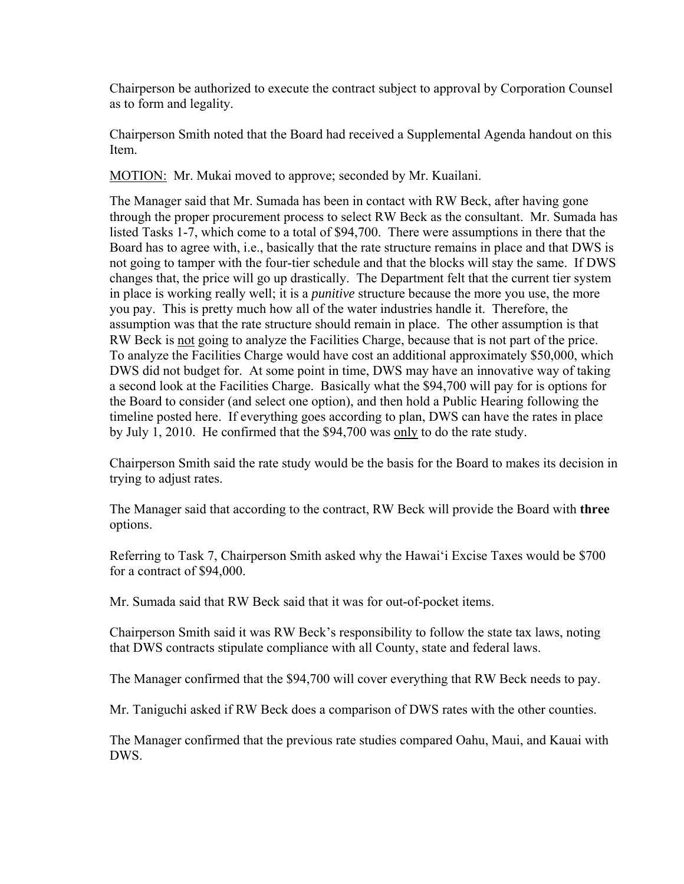Chairperson be authorized to execute the contract subject to approval by Corporation Counsel as to form and legality.

Chairperson Smith noted that the Board had received a Supplemental Agenda handout on this Item.

MOTION: Mr. Mukai moved to approve; seconded by Mr. Kuailani.

The Manager said that Mr. Sumada has been in contact with RW Beck, after having gone through the proper procurement process to select RW Beck as the consultant. Mr. Sumada has listed Tasks 1-7, which come to a total of \$94,700. There were assumptions in there that the Board has to agree with, i.e., basically that the rate structure remains in place and that DWS is not going to tamper with the four-tier schedule and that the blocks will stay the same. If DWS changes that, the price will go up drastically. The Department felt that the current tier system in place is working really well; it is a *punitive* structure because the more you use, the more you pay. This is pretty much how all of the water industries handle it. Therefore, the assumption was that the rate structure should remain in place. The other assumption is that RW Beck is not going to analyze the Facilities Charge, because that is not part of the price. To analyze the Facilities Charge would have cost an additional approximately \$50,000, which DWS did not budget for. At some point in time, DWS may have an innovative way of taking a second look at the Facilities Charge. Basically what the \$94,700 will pay for is options for the Board to consider (and select one option), and then hold a Public Hearing following the timeline posted here. If everything goes according to plan, DWS can have the rates in place by July 1, 2010. He confirmed that the \$94,700 was only to do the rate study.

Chairperson Smith said the rate study would be the basis for the Board to makes its decision in trying to adjust rates.

The Manager said that according to the contract, RW Beck will provide the Board with **three**  options.

Referring to Task 7, Chairperson Smith asked why the Hawai'i Excise Taxes would be \$700 for a contract of \$94,000.

Mr. Sumada said that RW Beck said that it was for out-of-pocket items.

Chairperson Smith said it was RW Beck's responsibility to follow the state tax laws, noting that DWS contracts stipulate compliance with all County, state and federal laws.

The Manager confirmed that the \$94,700 will cover everything that RW Beck needs to pay.

Mr. Taniguchi asked if RW Beck does a comparison of DWS rates with the other counties.

The Manager confirmed that the previous rate studies compared Oahu, Maui, and Kauai with DWS.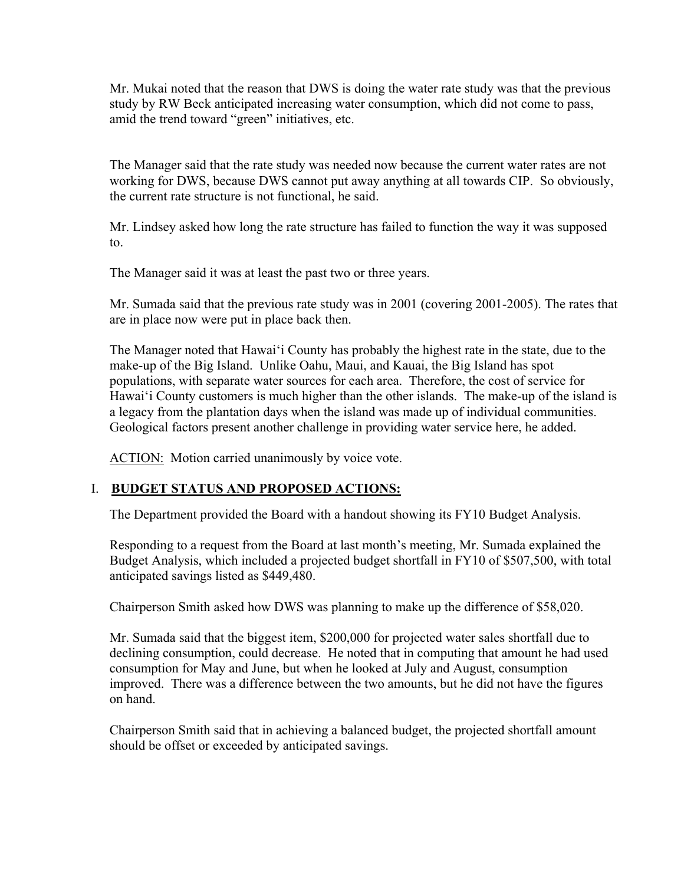Mr. Mukai noted that the reason that DWS is doing the water rate study was that the previous study by RW Beck anticipated increasing water consumption, which did not come to pass, amid the trend toward "green" initiatives, etc.

The Manager said that the rate study was needed now because the current water rates are not working for DWS, because DWS cannot put away anything at all towards CIP. So obviously, the current rate structure is not functional, he said.

Mr. Lindsey asked how long the rate structure has failed to function the way it was supposed to.

The Manager said it was at least the past two or three years.

Mr. Sumada said that the previous rate study was in 2001 (covering 2001-2005). The rates that are in place now were put in place back then.

The Manager noted that Hawai'i County has probably the highest rate in the state, due to the make-up of the Big Island. Unlike Oahu, Maui, and Kauai, the Big Island has spot populations, with separate water sources for each area. Therefore, the cost of service for Hawai'i County customers is much higher than the other islands. The make-up of the island is a legacy from the plantation days when the island was made up of individual communities. Geological factors present another challenge in providing water service here, he added.

ACTION: Motion carried unanimously by voice vote.

## I. **BUDGET STATUS AND PROPOSED ACTIONS:**

The Department provided the Board with a handout showing its FY10 Budget Analysis.

Responding to a request from the Board at last month's meeting, Mr. Sumada explained the Budget Analysis, which included a projected budget shortfall in FY10 of \$507,500, with total anticipated savings listed as \$449,480.

Chairperson Smith asked how DWS was planning to make up the difference of \$58,020.

Mr. Sumada said that the biggest item, \$200,000 for projected water sales shortfall due to declining consumption, could decrease. He noted that in computing that amount he had used consumption for May and June, but when he looked at July and August, consumption improved. There was a difference between the two amounts, but he did not have the figures on hand.

Chairperson Smith said that in achieving a balanced budget, the projected shortfall amount should be offset or exceeded by anticipated savings.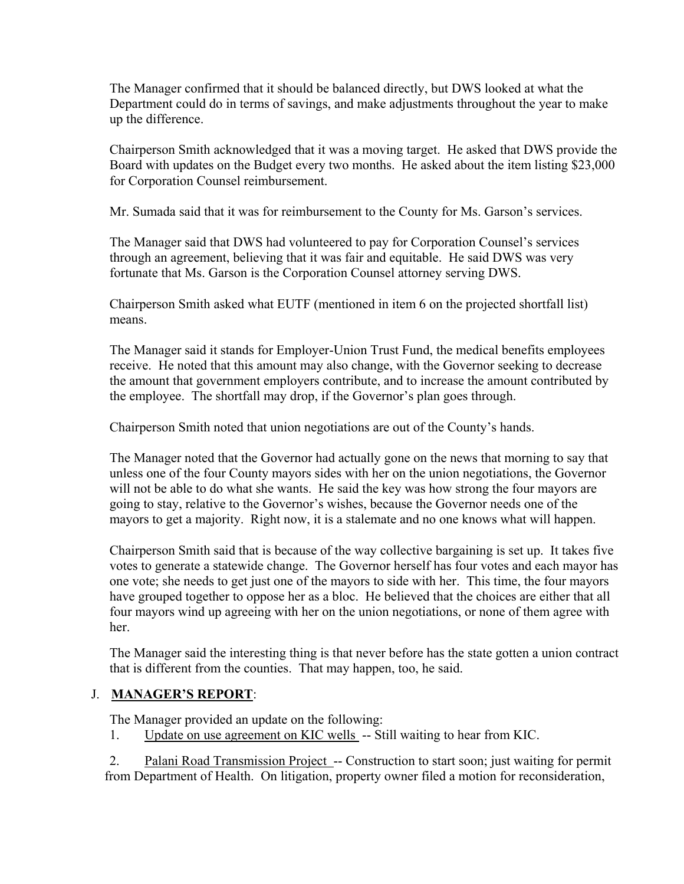The Manager confirmed that it should be balanced directly, but DWS looked at what the Department could do in terms of savings, and make adjustments throughout the year to make up the difference.

Chairperson Smith acknowledged that it was a moving target. He asked that DWS provide the Board with updates on the Budget every two months. He asked about the item listing \$23,000 for Corporation Counsel reimbursement.

Mr. Sumada said that it was for reimbursement to the County for Ms. Garson's services.

The Manager said that DWS had volunteered to pay for Corporation Counsel's services through an agreement, believing that it was fair and equitable. He said DWS was very fortunate that Ms. Garson is the Corporation Counsel attorney serving DWS.

Chairperson Smith asked what EUTF (mentioned in item 6 on the projected shortfall list) means.

The Manager said it stands for Employer-Union Trust Fund, the medical benefits employees receive. He noted that this amount may also change, with the Governor seeking to decrease the amount that government employers contribute, and to increase the amount contributed by the employee. The shortfall may drop, if the Governor's plan goes through.

Chairperson Smith noted that union negotiations are out of the County's hands.

The Manager noted that the Governor had actually gone on the news that morning to say that unless one of the four County mayors sides with her on the union negotiations, the Governor will not be able to do what she wants. He said the key was how strong the four mayors are going to stay, relative to the Governor's wishes, because the Governor needs one of the mayors to get a majority. Right now, it is a stalemate and no one knows what will happen.

Chairperson Smith said that is because of the way collective bargaining is set up. It takes five votes to generate a statewide change. The Governor herself has four votes and each mayor has one vote; she needs to get just one of the mayors to side with her. This time, the four mayors have grouped together to oppose her as a bloc. He believed that the choices are either that all four mayors wind up agreeing with her on the union negotiations, or none of them agree with her.

The Manager said the interesting thing is that never before has the state gotten a union contract that is different from the counties. That may happen, too, he said.

# J. **MANAGER'S REPORT**:

The Manager provided an update on the following:

1. Update on use agreement on KIC wells -- Still waiting to hear from KIC.

2. Palani Road Transmission Project -- Construction to start soon; just waiting for permit from Department of Health. On litigation, property owner filed a motion for reconsideration,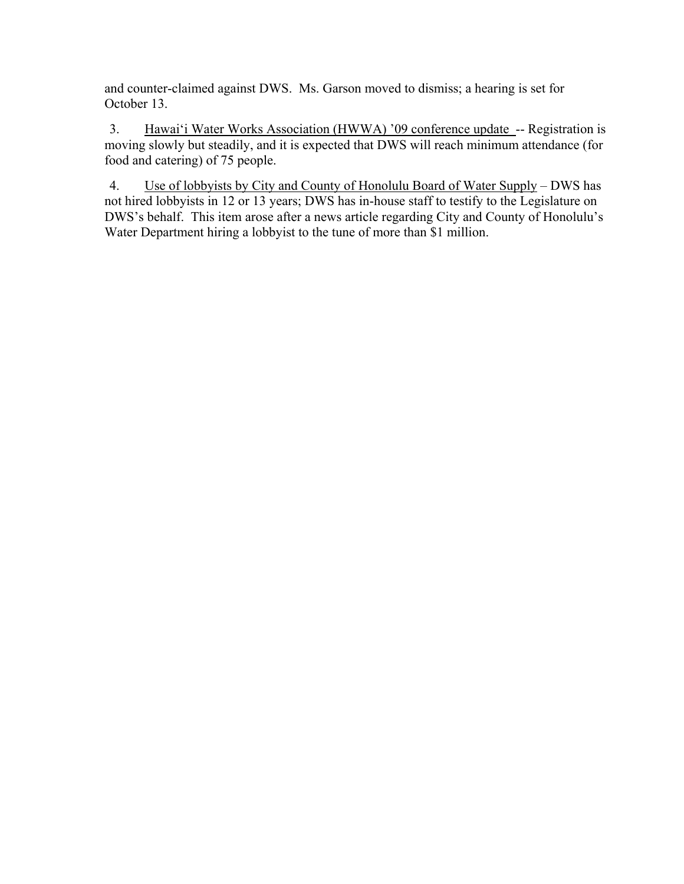and counter-claimed against DWS. Ms. Garson moved to dismiss; a hearing is set for October 13.

3. Hawai'i Water Works Association (HWWA) '09 conference update -- Registration is moving slowly but steadily, and it is expected that DWS will reach minimum attendance (for food and catering) of 75 people.

4. Use of lobbyists by City and County of Honolulu Board of Water Supply – DWS has not hired lobbyists in 12 or 13 years; DWS has in-house staff to testify to the Legislature on DWS's behalf. This item arose after a news article regarding City and County of Honolulu's Water Department hiring a lobbyist to the tune of more than \$1 million.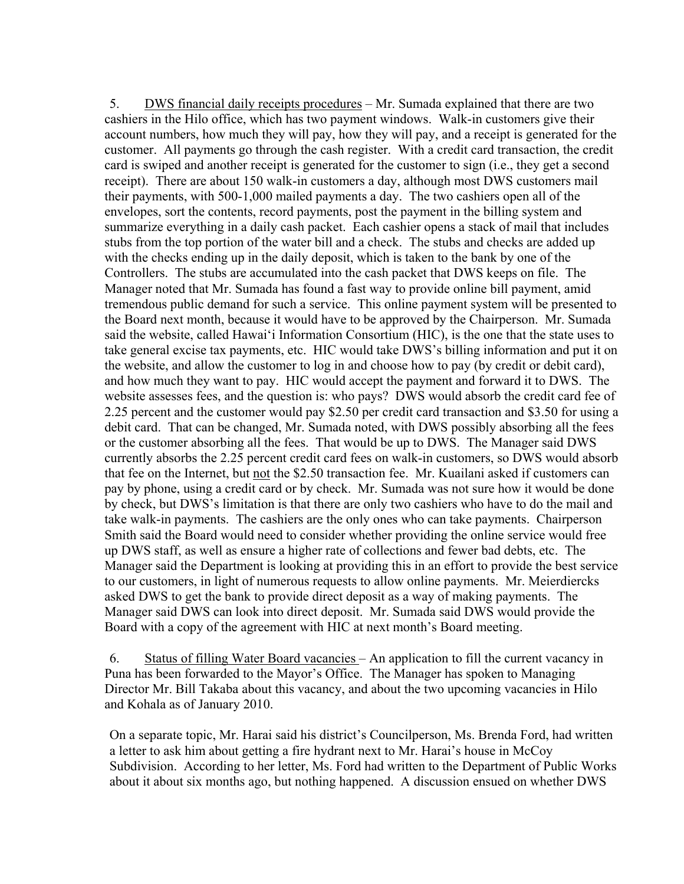5. DWS financial daily receipts procedures – Mr. Sumada explained that there are two cashiers in the Hilo office, which has two payment windows. Walk-in customers give their account numbers, how much they will pay, how they will pay, and a receipt is generated for the customer. All payments go through the cash register. With a credit card transaction, the credit card is swiped and another receipt is generated for the customer to sign (i.e., they get a second receipt). There are about 150 walk-in customers a day, although most DWS customers mail their payments, with 500-1,000 mailed payments a day. The two cashiers open all of the envelopes, sort the contents, record payments, post the payment in the billing system and summarize everything in a daily cash packet. Each cashier opens a stack of mail that includes stubs from the top portion of the water bill and a check. The stubs and checks are added up with the checks ending up in the daily deposit, which is taken to the bank by one of the Controllers. The stubs are accumulated into the cash packet that DWS keeps on file. The Manager noted that Mr. Sumada has found a fast way to provide online bill payment, amid tremendous public demand for such a service. This online payment system will be presented to the Board next month, because it would have to be approved by the Chairperson. Mr. Sumada said the website, called Hawai'i Information Consortium (HIC), is the one that the state uses to take general excise tax payments, etc. HIC would take DWS's billing information and put it on the website, and allow the customer to log in and choose how to pay (by credit or debit card), and how much they want to pay. HIC would accept the payment and forward it to DWS. The website assesses fees, and the question is: who pays? DWS would absorb the credit card fee of 2.25 percent and the customer would pay \$2.50 per credit card transaction and \$3.50 for using a debit card. That can be changed, Mr. Sumada noted, with DWS possibly absorbing all the fees or the customer absorbing all the fees. That would be up to DWS. The Manager said DWS currently absorbs the 2.25 percent credit card fees on walk-in customers, so DWS would absorb that fee on the Internet, but not the \$2.50 transaction fee. Mr. Kuailani asked if customers can pay by phone, using a credit card or by check. Mr. Sumada was not sure how it would be done by check, but DWS's limitation is that there are only two cashiers who have to do the mail and take walk-in payments. The cashiers are the only ones who can take payments. Chairperson Smith said the Board would need to consider whether providing the online service would free up DWS staff, as well as ensure a higher rate of collections and fewer bad debts, etc. The Manager said the Department is looking at providing this in an effort to provide the best service to our customers, in light of numerous requests to allow online payments. Mr. Meierdiercks asked DWS to get the bank to provide direct deposit as a way of making payments. The Manager said DWS can look into direct deposit. Mr. Sumada said DWS would provide the Board with a copy of the agreement with HIC at next month's Board meeting.

6. Status of filling Water Board vacancies – An application to fill the current vacancy in Puna has been forwarded to the Mayor's Office. The Manager has spoken to Managing Director Mr. Bill Takaba about this vacancy, and about the two upcoming vacancies in Hilo and Kohala as of January 2010.

On a separate topic, Mr. Harai said his district's Councilperson, Ms. Brenda Ford, had written a letter to ask him about getting a fire hydrant next to Mr. Harai's house in McCoy Subdivision. According to her letter, Ms. Ford had written to the Department of Public Works about it about six months ago, but nothing happened. A discussion ensued on whether DWS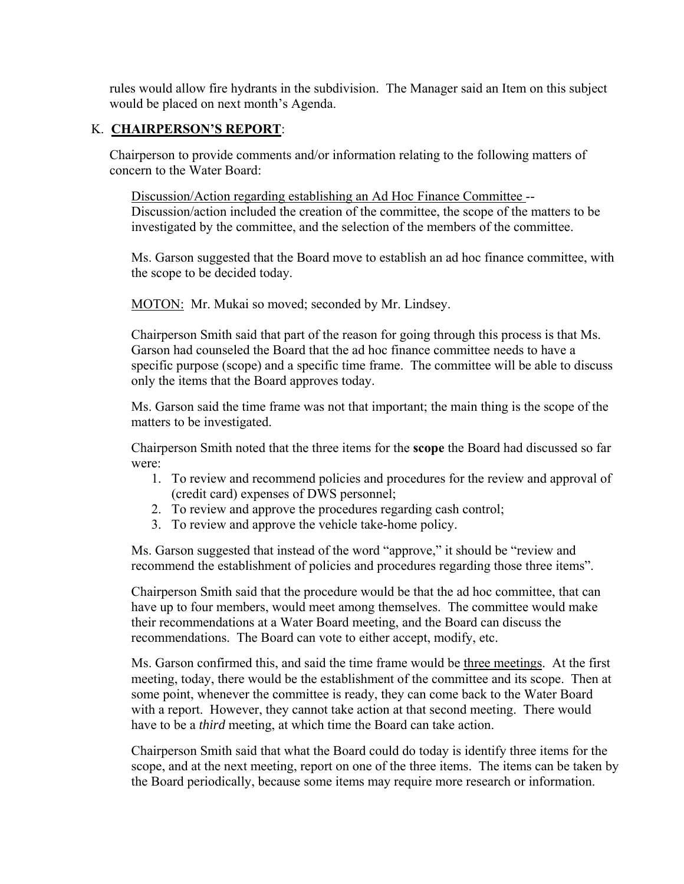rules would allow fire hydrants in the subdivision. The Manager said an Item on this subject would be placed on next month's Agenda.

### K. **CHAIRPERSON'S REPORT**:

Chairperson to provide comments and/or information relating to the following matters of concern to the Water Board:

Discussion/Action regarding establishing an Ad Hoc Finance Committee -- Discussion/action included the creation of the committee, the scope of the matters to be investigated by the committee, and the selection of the members of the committee.

Ms. Garson suggested that the Board move to establish an ad hoc finance committee, with the scope to be decided today.

MOTON: Mr. Mukai so moved; seconded by Mr. Lindsey.

Chairperson Smith said that part of the reason for going through this process is that Ms. Garson had counseled the Board that the ad hoc finance committee needs to have a specific purpose (scope) and a specific time frame. The committee will be able to discuss only the items that the Board approves today.

Ms. Garson said the time frame was not that important; the main thing is the scope of the matters to be investigated.

Chairperson Smith noted that the three items for the **scope** the Board had discussed so far were:

- 1. To review and recommend policies and procedures for the review and approval of (credit card) expenses of DWS personnel;
- 2. To review and approve the procedures regarding cash control;
- 3. To review and approve the vehicle take-home policy.

Ms. Garson suggested that instead of the word "approve," it should be "review and recommend the establishment of policies and procedures regarding those three items".

Chairperson Smith said that the procedure would be that the ad hoc committee, that can have up to four members, would meet among themselves. The committee would make their recommendations at a Water Board meeting, and the Board can discuss the recommendations. The Board can vote to either accept, modify, etc.

Ms. Garson confirmed this, and said the time frame would be three meetings. At the first meeting, today, there would be the establishment of the committee and its scope. Then at some point, whenever the committee is ready, they can come back to the Water Board with a report. However, they cannot take action at that second meeting. There would have to be a *third* meeting, at which time the Board can take action.

Chairperson Smith said that what the Board could do today is identify three items for the scope, and at the next meeting, report on one of the three items. The items can be taken by the Board periodically, because some items may require more research or information.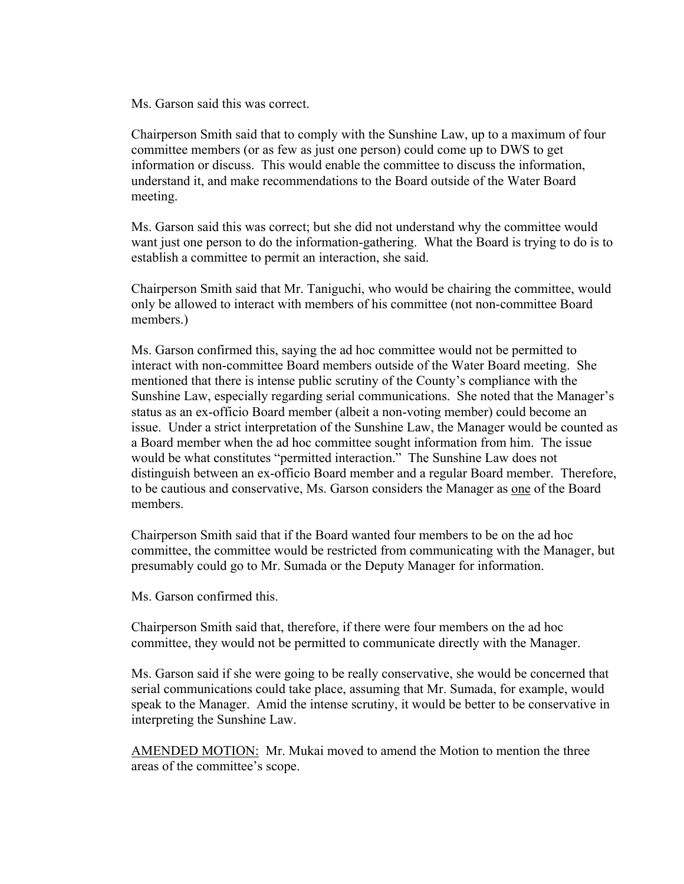Ms. Garson said this was correct.

Chairperson Smith said that to comply with the Sunshine Law, up to a maximum of four committee members (or as few as just one person) could come up to DWS to get information or discuss. This would enable the committee to discuss the information, understand it, and make recommendations to the Board outside of the Water Board meeting.

Ms. Garson said this was correct; but she did not understand why the committee would want just one person to do the information-gathering. What the Board is trying to do is to establish a committee to permit an interaction, she said.

Chairperson Smith said that Mr. Taniguchi, who would be chairing the committee, would only be allowed to interact with members of his committee (not non-committee Board members.)

Ms. Garson confirmed this, saying the ad hoc committee would not be permitted to interact with non-committee Board members outside of the Water Board meeting. She mentioned that there is intense public scrutiny of the County's compliance with the Sunshine Law, especially regarding serial communications. She noted that the Manager's status as an ex-officio Board member (albeit a non-voting member) could become an issue. Under a strict interpretation of the Sunshine Law, the Manager would be counted as a Board member when the ad hoc committee sought information from him. The issue would be what constitutes "permitted interaction." The Sunshine Law does not distinguish between an ex-officio Board member and a regular Board member. Therefore, to be cautious and conservative, Ms. Garson considers the Manager as one of the Board members.

Chairperson Smith said that if the Board wanted four members to be on the ad hoc committee, the committee would be restricted from communicating with the Manager, but presumably could go to Mr. Sumada or the Deputy Manager for information.

Ms. Garson confirmed this.

Chairperson Smith said that, therefore, if there were four members on the ad hoc committee, they would not be permitted to communicate directly with the Manager.

Ms. Garson said if she were going to be really conservative, she would be concerned that serial communications could take place, assuming that Mr. Sumada, for example, would speak to the Manager. Amid the intense scrutiny, it would be better to be conservative in interpreting the Sunshine Law.

AMENDED MOTION: Mr. Mukai moved to amend the Motion to mention the three areas of the committee's scope.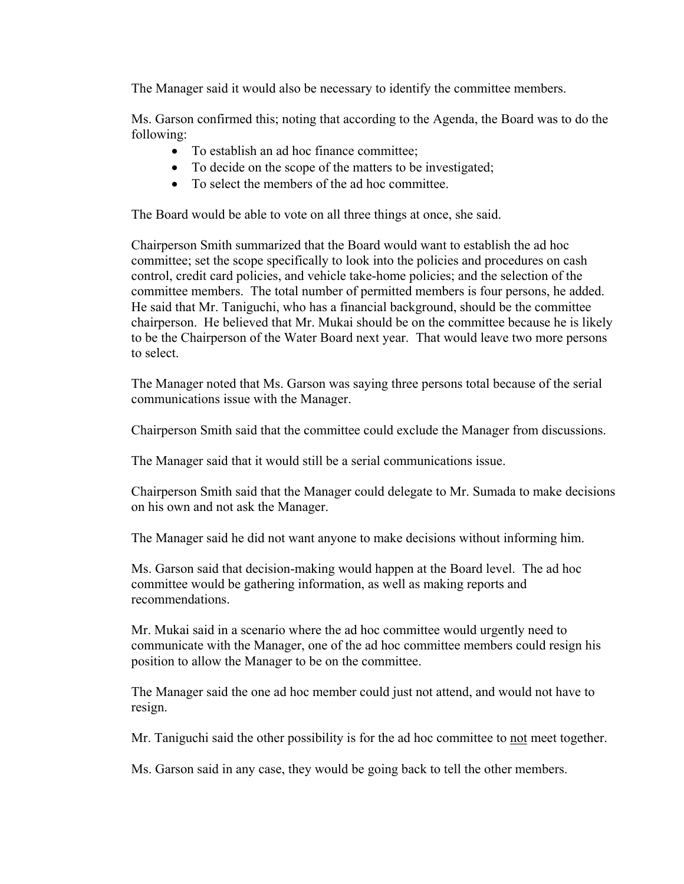The Manager said it would also be necessary to identify the committee members.

Ms. Garson confirmed this; noting that according to the Agenda, the Board was to do the following:

- To establish an ad hoc finance committee;
- To decide on the scope of the matters to be investigated;
- To select the members of the ad hoc committee.

The Board would be able to vote on all three things at once, she said.

Chairperson Smith summarized that the Board would want to establish the ad hoc committee; set the scope specifically to look into the policies and procedures on cash control, credit card policies, and vehicle take-home policies; and the selection of the committee members. The total number of permitted members is four persons, he added. He said that Mr. Taniguchi, who has a financial background, should be the committee chairperson. He believed that Mr. Mukai should be on the committee because he is likely to be the Chairperson of the Water Board next year. That would leave two more persons to select.

The Manager noted that Ms. Garson was saying three persons total because of the serial communications issue with the Manager.

Chairperson Smith said that the committee could exclude the Manager from discussions.

The Manager said that it would still be a serial communications issue.

Chairperson Smith said that the Manager could delegate to Mr. Sumada to make decisions on his own and not ask the Manager.

The Manager said he did not want anyone to make decisions without informing him.

Ms. Garson said that decision-making would happen at the Board level. The ad hoc committee would be gathering information, as well as making reports and recommendations.

Mr. Mukai said in a scenario where the ad hoc committee would urgently need to communicate with the Manager, one of the ad hoc committee members could resign his position to allow the Manager to be on the committee.

The Manager said the one ad hoc member could just not attend, and would not have to resign.

Mr. Taniguchi said the other possibility is for the ad hoc committee to not meet together.

Ms. Garson said in any case, they would be going back to tell the other members.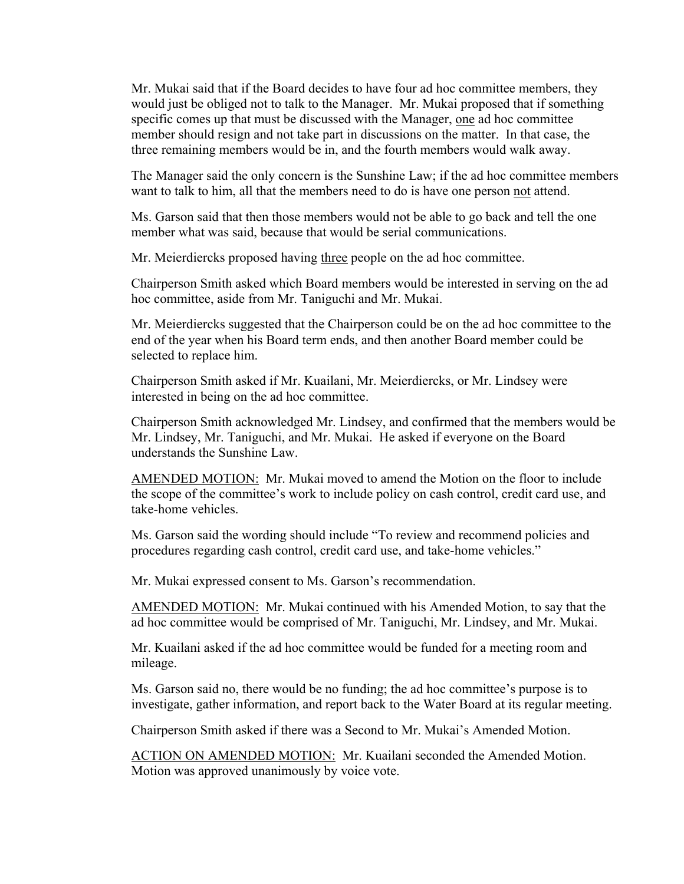Mr. Mukai said that if the Board decides to have four ad hoc committee members, they would just be obliged not to talk to the Manager. Mr. Mukai proposed that if something specific comes up that must be discussed with the Manager, one ad hoc committee member should resign and not take part in discussions on the matter. In that case, the three remaining members would be in, and the fourth members would walk away.

The Manager said the only concern is the Sunshine Law; if the ad hoc committee members want to talk to him, all that the members need to do is have one person not attend.

Ms. Garson said that then those members would not be able to go back and tell the one member what was said, because that would be serial communications.

Mr. Meierdiercks proposed having three people on the ad hoc committee.

Chairperson Smith asked which Board members would be interested in serving on the ad hoc committee, aside from Mr. Taniguchi and Mr. Mukai.

Mr. Meierdiercks suggested that the Chairperson could be on the ad hoc committee to the end of the year when his Board term ends, and then another Board member could be selected to replace him.

Chairperson Smith asked if Mr. Kuailani, Mr. Meierdiercks, or Mr. Lindsey were interested in being on the ad hoc committee.

Chairperson Smith acknowledged Mr. Lindsey, and confirmed that the members would be Mr. Lindsey, Mr. Taniguchi, and Mr. Mukai. He asked if everyone on the Board understands the Sunshine Law.

AMENDED MOTION: Mr. Mukai moved to amend the Motion on the floor to include the scope of the committee's work to include policy on cash control, credit card use, and take-home vehicles.

Ms. Garson said the wording should include "To review and recommend policies and procedures regarding cash control, credit card use, and take-home vehicles."

Mr. Mukai expressed consent to Ms. Garson's recommendation.

AMENDED MOTION: Mr. Mukai continued with his Amended Motion, to say that the ad hoc committee would be comprised of Mr. Taniguchi, Mr. Lindsey, and Mr. Mukai.

Mr. Kuailani asked if the ad hoc committee would be funded for a meeting room and mileage.

Ms. Garson said no, there would be no funding; the ad hoc committee's purpose is to investigate, gather information, and report back to the Water Board at its regular meeting.

Chairperson Smith asked if there was a Second to Mr. Mukai's Amended Motion.

ACTION ON AMENDED MOTION: Mr. Kuailani seconded the Amended Motion. Motion was approved unanimously by voice vote.